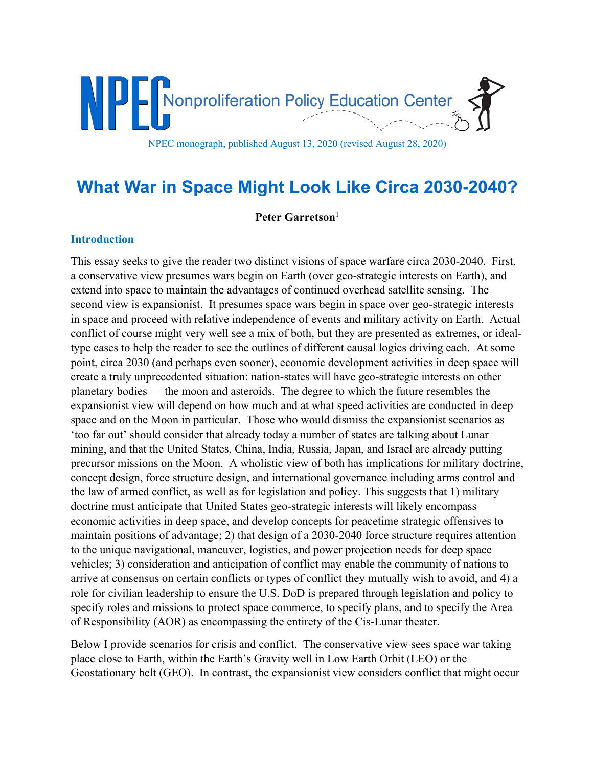

# **What War in Space Might Look Like Circa 2030-2040?**

**Peter Garretson**<sup>1</sup>

## **Introduction**

This essay seeks to give the reader two distinct visions of space warfare circa 2030-2040. First, a conservative view presumes wars begin on Earth (over geo-strategic interests on Earth), and extend into space to maintain the advantages of continued overhead satellite sensing. The second view is expansionist. It presumes space wars begin in space over geo-strategic interests in space and proceed with relative independence of events and military activity on Earth. Actual conflict of course might very well see a mix of both, but they are presented as extremes, or idealtype cases to help the reader to see the outlines of different causal logics driving each. At some point, circa 2030 (and perhaps even sooner), economic development activities in deep space will create a truly unprecedented situation: nation-states will have geo-strategic interests on other planetary bodies — the moon and asteroids. The degree to which the future resembles the expansionist view will depend on how much and at what speed activities are conducted in deep space and on the Moon in particular. Those who would dismiss the expansionist scenarios as 'too far out' should consider that already today a number of states are talking about Lunar mining, and that the United States, China, India, Russia, Japan, and Israel are already putting precursor missions on the Moon. A wholistic view of both has implications for military doctrine, concept design, force structure design, and international governance including arms control and the law of armed conflict, as well as for legislation and policy. This suggests that 1) military doctrine must anticipate that United States geo-strategic interests will likely encompass economic activities in deep space, and develop concepts for peacetime strategic offensives to maintain positions of advantage; 2) that design of a 2030-2040 force structure requires attention to the unique navigational, maneuver, logistics, and power projection needs for deep space vehicles; 3) consideration and anticipation of conflict may enable the community of nations to arrive at consensus on certain conflicts or types of conflict they mutually wish to avoid, and 4) a role for civilian leadership to ensure the U.S. DoD is prepared through legislation and policy to specify roles and missions to protect space commerce, to specify plans, and to specify the Area of Responsibility (AOR) as encompassing the entirety of the Cis-Lunar theater.

Below I provide scenarios for crisis and conflict. The conservative view sees space war taking place close to Earth, within the Earth's Gravity well in Low Earth Orbit (LEO) or the Geostationary belt (GEO). In contrast, the expansionist view considers conflict that might occur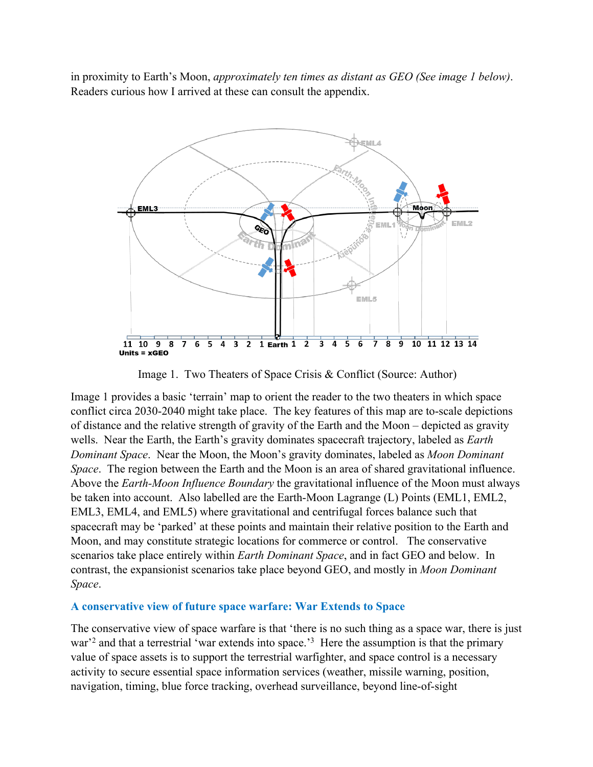in proximity to Earth's Moon, *approximately ten times as distant as GEO (See image 1 below)*. Readers curious how I arrived at these can consult the appendix.



Image 1. Two Theaters of Space Crisis & Conflict (Source: Author)

Image 1 provides a basic 'terrain' map to orient the reader to the two theaters in which space conflict circa 2030-2040 might take place. The key features of this map are to-scale depictions of distance and the relative strength of gravity of the Earth and the Moon – depicted as gravity wells. Near the Earth, the Earth's gravity dominates spacecraft trajectory, labeled as *Earth Dominant Space*. Near the Moon, the Moon's gravity dominates, labeled as *Moon Dominant Space*. The region between the Earth and the Moon is an area of shared gravitational influence. Above the *Earth-Moon Influence Boundary* the gravitational influence of the Moon must always be taken into account. Also labelled are the Earth-Moon Lagrange (L) Points (EML1, EML2, EML3, EML4, and EML5) where gravitational and centrifugal forces balance such that spacecraft may be 'parked' at these points and maintain their relative position to the Earth and Moon, and may constitute strategic locations for commerce or control. The conservative scenarios take place entirely within *Earth Dominant Space*, and in fact GEO and below. In contrast, the expansionist scenarios take place beyond GEO, and mostly in *Moon Dominant Space*.

#### **A conservative view of future space warfare: War Extends to Space**

The conservative view of space warfare is that 'there is no such thing as a space war, there is just war<sup>3</sup> and that a terrestrial 'war extends into space.<sup>3</sup> Here the assumption is that the primary value of space assets is to support the terrestrial warfighter, and space control is a necessary activity to secure essential space information services (weather, missile warning, position, navigation, timing, blue force tracking, overhead surveillance, beyond line-of-sight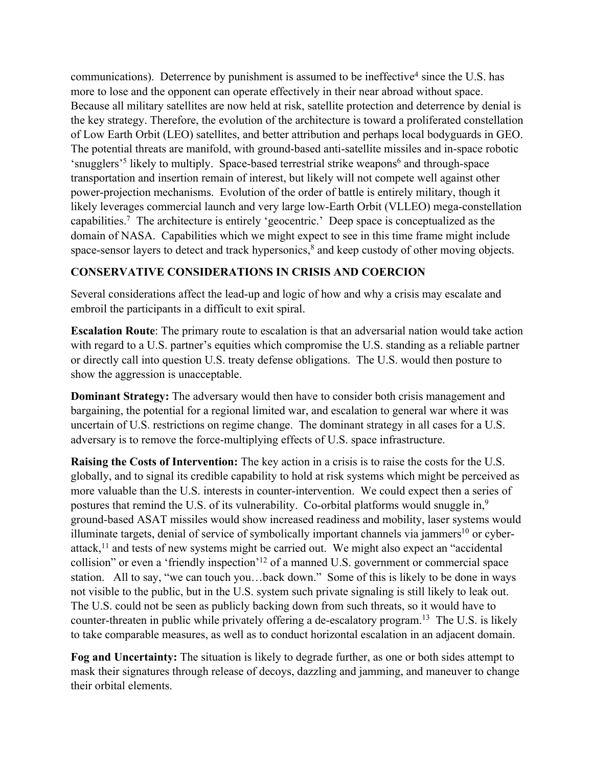communications). Deterrence by punishment is assumed to be ineffective<sup>4</sup> since the U.S. has more to lose and the opponent can operate effectively in their near abroad without space. Because all military satellites are now held at risk, satellite protection and deterrence by denial is the key strategy. Therefore, the evolution of the architecture is toward a proliferated constellation of Low Earth Orbit (LEO) satellites, and better attribution and perhaps local bodyguards in GEO. The potential threats are manifold, with ground-based anti-satellite missiles and in-space robotic 'snugglers'<sup>5</sup> likely to multiply. Space-based terrestrial strike weapons<sup>6</sup> and through-space transportation and insertion remain of interest, but likely will not compete well against other power-projection mechanisms. Evolution of the order of battle is entirely military, though it likely leverages commercial launch and very large low-Earth Orbit (VLLEO) mega-constellation capabilities.7 The architecture is entirely 'geocentric.' Deep space is conceptualized as the domain of NASA. Capabilities which we might expect to see in this time frame might include space-sensor layers to detect and track hypersonics,<sup>8</sup> and keep custody of other moving objects.

# **CONSERVATIVE CONSIDERATIONS IN CRISIS AND COERCION**

Several considerations affect the lead-up and logic of how and why a crisis may escalate and embroil the participants in a difficult to exit spiral.

**Escalation Route**: The primary route to escalation is that an adversarial nation would take action with regard to a U.S. partner's equities which compromise the U.S. standing as a reliable partner or directly call into question U.S. treaty defense obligations. The U.S. would then posture to show the aggression is unacceptable.

**Dominant Strategy:** The adversary would then have to consider both crisis management and bargaining, the potential for a regional limited war, and escalation to general war where it was uncertain of U.S. restrictions on regime change. The dominant strategy in all cases for a U.S. adversary is to remove the force-multiplying effects of U.S. space infrastructure.

**Raising the Costs of Intervention:** The key action in a crisis is to raise the costs for the U.S. globally, and to signal its credible capability to hold at risk systems which might be perceived as more valuable than the U.S. interests in counter-intervention. We could expect then a series of postures that remind the U.S. of its vulnerability. Co-orbital platforms would snuggle in,<sup>9</sup> ground-based ASAT missiles would show increased readiness and mobility, laser systems would illuminate targets, denial of service of symbolically important channels via jammers<sup>10</sup> or cyberattack,<sup>11</sup> and tests of new systems might be carried out. We might also expect an "accidental collision" or even a 'friendly inspection'12 of a manned U.S. government or commercial space station. All to say, "we can touch you…back down." Some of this is likely to be done in ways not visible to the public, but in the U.S. system such private signaling is still likely to leak out. The U.S. could not be seen as publicly backing down from such threats, so it would have to counter-threaten in public while privately offering a de-escalatory program.<sup>13</sup> The U.S. is likely to take comparable measures, as well as to conduct horizontal escalation in an adjacent domain.

**Fog and Uncertainty:** The situation is likely to degrade further, as one or both sides attempt to mask their signatures through release of decoys, dazzling and jamming, and maneuver to change their orbital elements.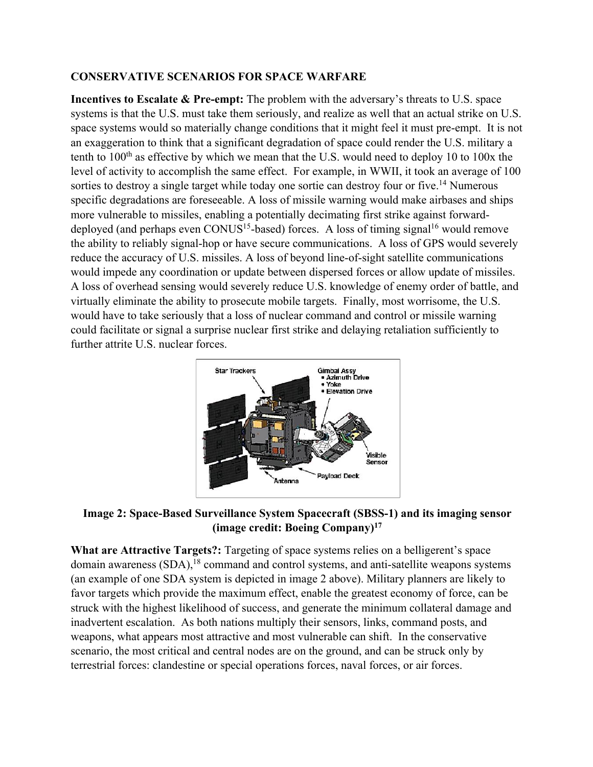#### **CONSERVATIVE SCENARIOS FOR SPACE WARFARE**

**Incentives to Escalate & Pre-empt:** The problem with the adversary's threats to U.S. space systems is that the U.S. must take them seriously, and realize as well that an actual strike on U.S. space systems would so materially change conditions that it might feel it must pre-empt. It is not an exaggeration to think that a significant degradation of space could render the U.S. military a tenth to  $100<sup>th</sup>$  as effective by which we mean that the U.S. would need to deploy 10 to 100x the level of activity to accomplish the same effect. For example, in WWII, it took an average of 100 sorties to destroy a single target while today one sortie can destroy four or five.<sup>14</sup> Numerous specific degradations are foreseeable. A loss of missile warning would make airbases and ships more vulnerable to missiles, enabling a potentially decimating first strike against forwarddeployed (and perhaps even CONUS<sup>15</sup>-based) forces. A loss of timing signal<sup>16</sup> would remove the ability to reliably signal-hop or have secure communications. A loss of GPS would severely reduce the accuracy of U.S. missiles. A loss of beyond line-of-sight satellite communications would impede any coordination or update between dispersed forces or allow update of missiles. A loss of overhead sensing would severely reduce U.S. knowledge of enemy order of battle, and virtually eliminate the ability to prosecute mobile targets. Finally, most worrisome, the U.S. would have to take seriously that a loss of nuclear command and control or missile warning could facilitate or signal a surprise nuclear first strike and delaying retaliation sufficiently to further attrite U.S. nuclear forces.



**Image 2: Space-Based Surveillance System Spacecraft (SBSS-1) and its imaging sensor (image credit: Boeing Company)17**

**What are Attractive Targets?:** Targeting of space systems relies on a belligerent's space domain awareness  $(SDA)$ ,<sup>18</sup> command and control systems, and anti-satellite weapons systems (an example of one SDA system is depicted in image 2 above). Military planners are likely to favor targets which provide the maximum effect, enable the greatest economy of force, can be struck with the highest likelihood of success, and generate the minimum collateral damage and inadvertent escalation. As both nations multiply their sensors, links, command posts, and weapons, what appears most attractive and most vulnerable can shift. In the conservative scenario, the most critical and central nodes are on the ground, and can be struck only by terrestrial forces: clandestine or special operations forces, naval forces, or air forces.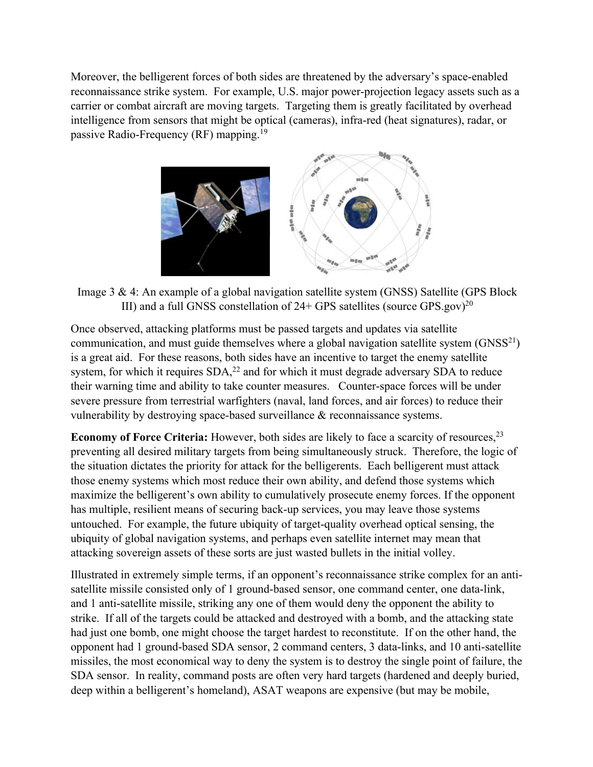Moreover, the belligerent forces of both sides are threatened by the adversary's space-enabled reconnaissance strike system. For example, U.S. major power-projection legacy assets such as a carrier or combat aircraft are moving targets. Targeting them is greatly facilitated by overhead intelligence from sensors that might be optical (cameras), infra-red (heat signatures), radar, or passive Radio-Frequency (RF) mapping.19



Image 3 & 4: An example of a global navigation satellite system (GNSS) Satellite (GPS Block III) and a full GNSS constellation of  $24+$  GPS satellites (source GPS.gov)<sup>20</sup>

Once observed, attacking platforms must be passed targets and updates via satellite communication, and must guide themselves where a global navigation satellite system  $(GNSS<sup>21</sup>)$ is a great aid. For these reasons, both sides have an incentive to target the enemy satellite system, for which it requires  $SDA<sub>1</sub><sup>22</sup>$  and for which it must degrade adversary SDA to reduce their warning time and ability to take counter measures. Counter-space forces will be under severe pressure from terrestrial warfighters (naval, land forces, and air forces) to reduce their vulnerability by destroying space-based surveillance & reconnaissance systems.

**Economy of Force Criteria:** However, both sides are likely to face a scarcity of resources,<sup>23</sup> preventing all desired military targets from being simultaneously struck. Therefore, the logic of the situation dictates the priority for attack for the belligerents. Each belligerent must attack those enemy systems which most reduce their own ability, and defend those systems which maximize the belligerent's own ability to cumulatively prosecute enemy forces. If the opponent has multiple, resilient means of securing back-up services, you may leave those systems untouched. For example, the future ubiquity of target-quality overhead optical sensing, the ubiquity of global navigation systems, and perhaps even satellite internet may mean that attacking sovereign assets of these sorts are just wasted bullets in the initial volley.

Illustrated in extremely simple terms, if an opponent's reconnaissance strike complex for an antisatellite missile consisted only of 1 ground-based sensor, one command center, one data-link, and 1 anti-satellite missile, striking any one of them would deny the opponent the ability to strike. If all of the targets could be attacked and destroyed with a bomb, and the attacking state had just one bomb, one might choose the target hardest to reconstitute. If on the other hand, the opponent had 1 ground-based SDA sensor, 2 command centers, 3 data-links, and 10 anti-satellite missiles, the most economical way to deny the system is to destroy the single point of failure, the SDA sensor. In reality, command posts are often very hard targets (hardened and deeply buried, deep within a belligerent's homeland), ASAT weapons are expensive (but may be mobile,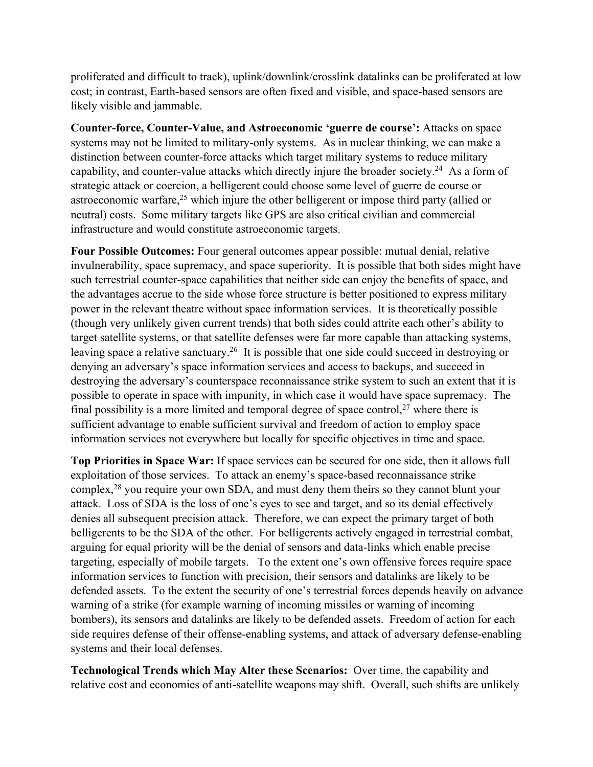proliferated and difficult to track), uplink/downlink/crosslink datalinks can be proliferated at low cost; in contrast, Earth-based sensors are often fixed and visible, and space-based sensors are likely visible and jammable.

**Counter-force, Counter-Value, and Astroeconomic 'guerre de course':** Attacks on space systems may not be limited to military-only systems. As in nuclear thinking, we can make a distinction between counter-force attacks which target military systems to reduce military capability, and counter-value attacks which directly injure the broader society.<sup>24</sup> As a form of strategic attack or coercion, a belligerent could choose some level of guerre de course or astroeconomic warfare, $^{25}$  which injure the other belligerent or impose third party (allied or neutral) costs. Some military targets like GPS are also critical civilian and commercial infrastructure and would constitute astroeconomic targets.

**Four Possible Outcomes:** Four general outcomes appear possible: mutual denial, relative invulnerability, space supremacy, and space superiority. It is possible that both sides might have such terrestrial counter-space capabilities that neither side can enjoy the benefits of space, and the advantages accrue to the side whose force structure is better positioned to express military power in the relevant theatre without space information services. It is theoretically possible (though very unlikely given current trends) that both sides could attrite each other's ability to target satellite systems, or that satellite defenses were far more capable than attacking systems, leaving space a relative sanctuary.<sup>26</sup> It is possible that one side could succeed in destroying or denying an adversary's space information services and access to backups, and succeed in destroying the adversary's counterspace reconnaissance strike system to such an extent that it is possible to operate in space with impunity, in which case it would have space supremacy. The final possibility is a more limited and temporal degree of space control,  $27$  where there is sufficient advantage to enable sufficient survival and freedom of action to employ space information services not everywhere but locally for specific objectives in time and space.

**Top Priorities in Space War:** If space services can be secured for one side, then it allows full exploitation of those services. To attack an enemy's space-based reconnaissance strike complex,<sup>28</sup> you require your own SDA, and must deny them theirs so they cannot blunt your attack. Loss of SDA is the loss of one's eyes to see and target, and so its denial effectively denies all subsequent precision attack. Therefore, we can expect the primary target of both belligerents to be the SDA of the other. For belligerents actively engaged in terrestrial combat, arguing for equal priority will be the denial of sensors and data-links which enable precise targeting, especially of mobile targets. To the extent one's own offensive forces require space information services to function with precision, their sensors and datalinks are likely to be defended assets. To the extent the security of one's terrestrial forces depends heavily on advance warning of a strike (for example warning of incoming missiles or warning of incoming bombers), its sensors and datalinks are likely to be defended assets. Freedom of action for each side requires defense of their offense-enabling systems, and attack of adversary defense-enabling systems and their local defenses.

**Technological Trends which May Alter these Scenarios:** Over time, the capability and relative cost and economies of anti-satellite weapons may shift. Overall, such shifts are unlikely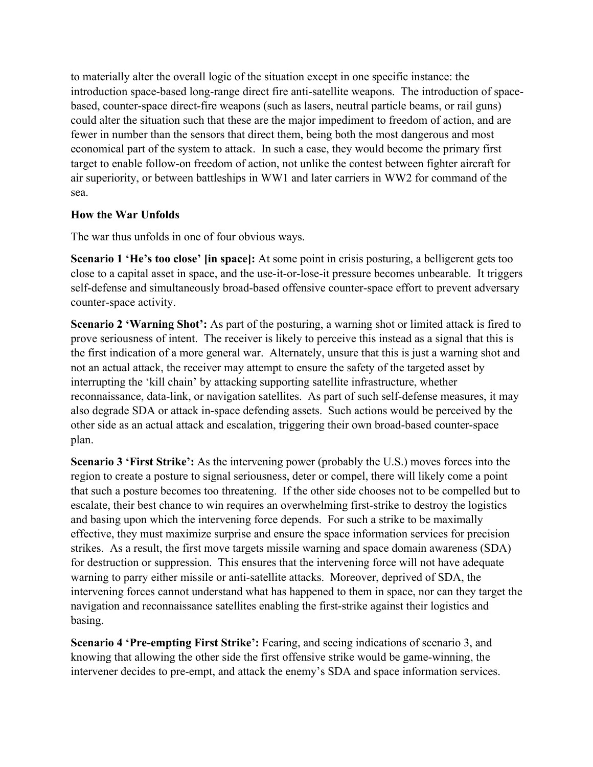to materially alter the overall logic of the situation except in one specific instance: the introduction space-based long-range direct fire anti-satellite weapons. The introduction of spacebased, counter-space direct-fire weapons (such as lasers, neutral particle beams, or rail guns) could alter the situation such that these are the major impediment to freedom of action, and are fewer in number than the sensors that direct them, being both the most dangerous and most economical part of the system to attack. In such a case, they would become the primary first target to enable follow-on freedom of action, not unlike the contest between fighter aircraft for air superiority, or between battleships in WW1 and later carriers in WW2 for command of the sea.

#### **How the War Unfolds**

The war thus unfolds in one of four obvious ways.

**Scenario 1 'He's too close' [in space]:** At some point in crisis posturing, a belligerent gets too close to a capital asset in space, and the use-it-or-lose-it pressure becomes unbearable. It triggers self-defense and simultaneously broad-based offensive counter-space effort to prevent adversary counter-space activity.

**Scenario 2 'Warning Shot':** As part of the posturing, a warning shot or limited attack is fired to prove seriousness of intent. The receiver is likely to perceive this instead as a signal that this is the first indication of a more general war. Alternately, unsure that this is just a warning shot and not an actual attack, the receiver may attempt to ensure the safety of the targeted asset by interrupting the 'kill chain' by attacking supporting satellite infrastructure, whether reconnaissance, data-link, or navigation satellites. As part of such self-defense measures, it may also degrade SDA or attack in-space defending assets. Such actions would be perceived by the other side as an actual attack and escalation, triggering their own broad-based counter-space plan.

**Scenario 3 'First Strike':** As the intervening power (probably the U.S.) moves forces into the region to create a posture to signal seriousness, deter or compel, there will likely come a point that such a posture becomes too threatening. If the other side chooses not to be compelled but to escalate, their best chance to win requires an overwhelming first-strike to destroy the logistics and basing upon which the intervening force depends. For such a strike to be maximally effective, they must maximize surprise and ensure the space information services for precision strikes. As a result, the first move targets missile warning and space domain awareness (SDA) for destruction or suppression. This ensures that the intervening force will not have adequate warning to parry either missile or anti-satellite attacks. Moreover, deprived of SDA, the intervening forces cannot understand what has happened to them in space, nor can they target the navigation and reconnaissance satellites enabling the first-strike against their logistics and basing.

**Scenario 4 'Pre-empting First Strike':** Fearing, and seeing indications of scenario 3, and knowing that allowing the other side the first offensive strike would be game-winning, the intervener decides to pre-empt, and attack the enemy's SDA and space information services.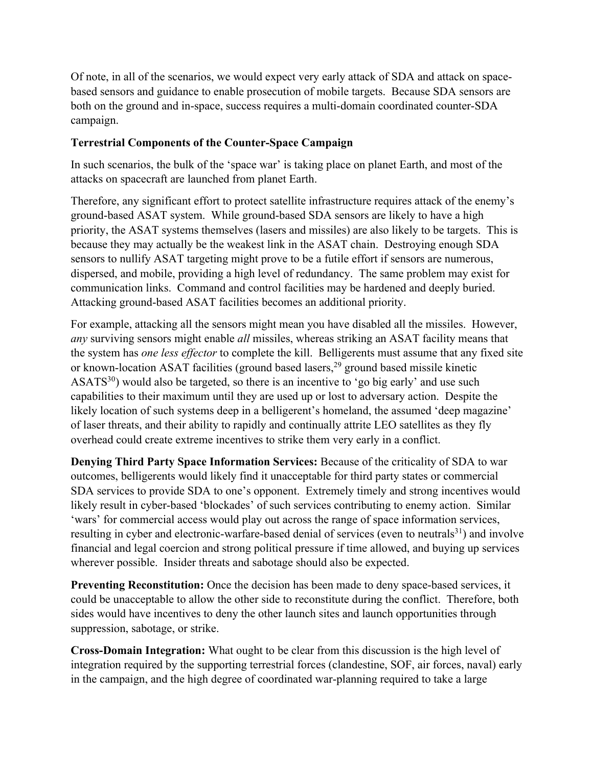Of note, in all of the scenarios, we would expect very early attack of SDA and attack on spacebased sensors and guidance to enable prosecution of mobile targets. Because SDA sensors are both on the ground and in-space, success requires a multi-domain coordinated counter-SDA campaign.

## **Terrestrial Components of the Counter-Space Campaign**

In such scenarios, the bulk of the 'space war' is taking place on planet Earth, and most of the attacks on spacecraft are launched from planet Earth.

Therefore, any significant effort to protect satellite infrastructure requires attack of the enemy's ground-based ASAT system. While ground-based SDA sensors are likely to have a high priority, the ASAT systems themselves (lasers and missiles) are also likely to be targets. This is because they may actually be the weakest link in the ASAT chain. Destroying enough SDA sensors to nullify ASAT targeting might prove to be a futile effort if sensors are numerous, dispersed, and mobile, providing a high level of redundancy. The same problem may exist for communication links. Command and control facilities may be hardened and deeply buried. Attacking ground-based ASAT facilities becomes an additional priority.

For example, attacking all the sensors might mean you have disabled all the missiles. However, *any* surviving sensors might enable *all* missiles, whereas striking an ASAT facility means that the system has *one less effector* to complete the kill. Belligerents must assume that any fixed site or known-location ASAT facilities (ground based lasers, $^{29}$  ground based missile kinetic  $ASATS<sup>30</sup>$ ) would also be targeted, so there is an incentive to 'go big early' and use such capabilities to their maximum until they are used up or lost to adversary action. Despite the likely location of such systems deep in a belligerent's homeland, the assumed 'deep magazine' of laser threats, and their ability to rapidly and continually attrite LEO satellites as they fly overhead could create extreme incentives to strike them very early in a conflict.

**Denying Third Party Space Information Services:** Because of the criticality of SDA to war outcomes, belligerents would likely find it unacceptable for third party states or commercial SDA services to provide SDA to one's opponent. Extremely timely and strong incentives would likely result in cyber-based 'blockades' of such services contributing to enemy action. Similar 'wars' for commercial access would play out across the range of space information services, resulting in cyber and electronic-warfare-based denial of services (even to neutrals<sup>31</sup>) and involve financial and legal coercion and strong political pressure if time allowed, and buying up services wherever possible. Insider threats and sabotage should also be expected.

**Preventing Reconstitution:** Once the decision has been made to deny space-based services, it could be unacceptable to allow the other side to reconstitute during the conflict. Therefore, both sides would have incentives to deny the other launch sites and launch opportunities through suppression, sabotage, or strike.

**Cross-Domain Integration:** What ought to be clear from this discussion is the high level of integration required by the supporting terrestrial forces (clandestine, SOF, air forces, naval) early in the campaign, and the high degree of coordinated war-planning required to take a large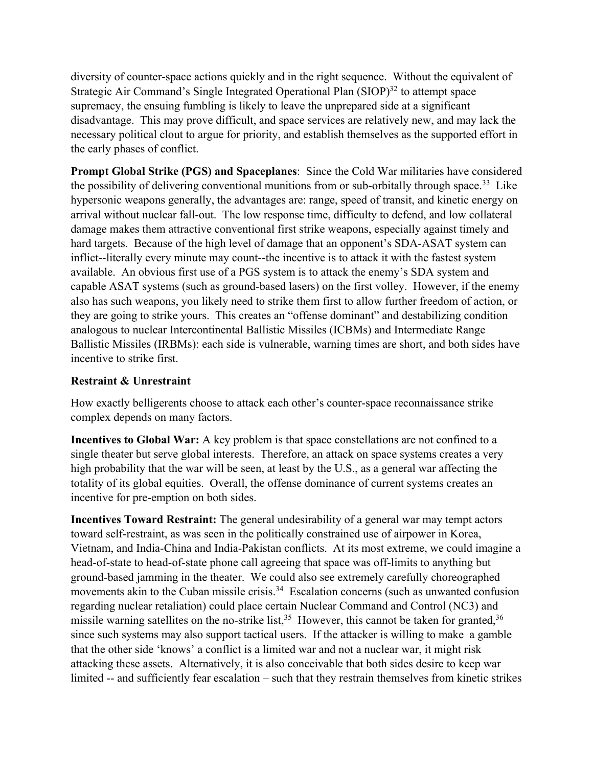diversity of counter-space actions quickly and in the right sequence. Without the equivalent of Strategic Air Command's Single Integrated Operational Plan  $(SIOP)^{32}$  to attempt space supremacy, the ensuing fumbling is likely to leave the unprepared side at a significant disadvantage. This may prove difficult, and space services are relatively new, and may lack the necessary political clout to argue for priority, and establish themselves as the supported effort in the early phases of conflict.

**Prompt Global Strike (PGS) and Spaceplanes**: Since the Cold War militaries have considered the possibility of delivering conventional munitions from or sub-orbitally through space.<sup>33</sup> Like hypersonic weapons generally, the advantages are: range, speed of transit, and kinetic energy on arrival without nuclear fall-out. The low response time, difficulty to defend, and low collateral damage makes them attractive conventional first strike weapons, especially against timely and hard targets. Because of the high level of damage that an opponent's SDA-ASAT system can inflict--literally every minute may count--the incentive is to attack it with the fastest system available. An obvious first use of a PGS system is to attack the enemy's SDA system and capable ASAT systems (such as ground-based lasers) on the first volley. However, if the enemy also has such weapons, you likely need to strike them first to allow further freedom of action, or they are going to strike yours. This creates an "offense dominant" and destabilizing condition analogous to nuclear Intercontinental Ballistic Missiles (ICBMs) and Intermediate Range Ballistic Missiles (IRBMs): each side is vulnerable, warning times are short, and both sides have incentive to strike first.

## **Restraint & Unrestraint**

How exactly belligerents choose to attack each other's counter-space reconnaissance strike complex depends on many factors.

**Incentives to Global War:** A key problem is that space constellations are not confined to a single theater but serve global interests. Therefore, an attack on space systems creates a very high probability that the war will be seen, at least by the U.S., as a general war affecting the totality of its global equities. Overall, the offense dominance of current systems creates an incentive for pre-emption on both sides.

**Incentives Toward Restraint:** The general undesirability of a general war may tempt actors toward self-restraint, as was seen in the politically constrained use of airpower in Korea, Vietnam, and India-China and India-Pakistan conflicts. At its most extreme, we could imagine a head-of-state to head-of-state phone call agreeing that space was off-limits to anything but ground-based jamming in the theater. We could also see extremely carefully choreographed movements akin to the Cuban missile crisis.<sup>34</sup> Escalation concerns (such as unwanted confusion regarding nuclear retaliation) could place certain Nuclear Command and Control (NC3) and missile warning satellites on the no-strike list,<sup>35</sup> However, this cannot be taken for granted,<sup>36</sup> since such systems may also support tactical users. If the attacker is willing to make a gamble that the other side 'knows' a conflict is a limited war and not a nuclear war, it might risk attacking these assets. Alternatively, it is also conceivable that both sides desire to keep war limited -- and sufficiently fear escalation – such that they restrain themselves from kinetic strikes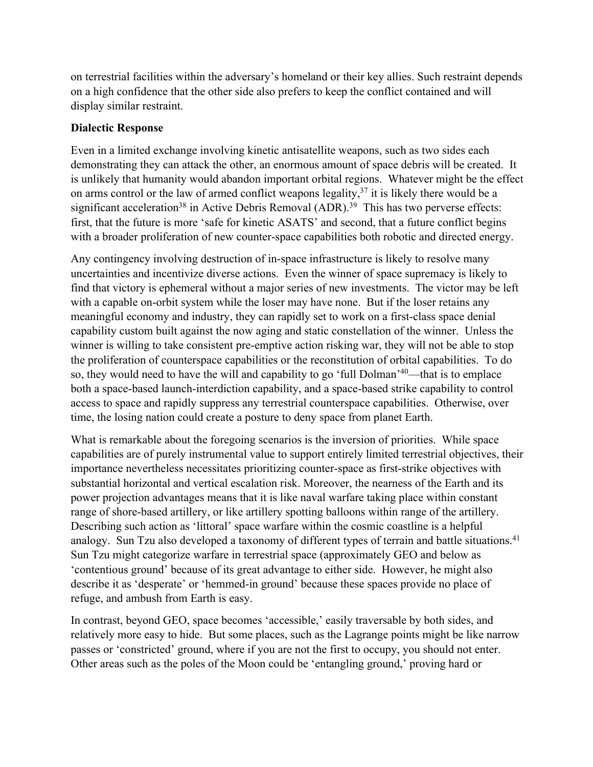on terrestrial facilities within the adversary's homeland or their key allies. Such restraint depends on a high confidence that the other side also prefers to keep the conflict contained and will display similar restraint.

## **Dialectic Response**

Even in a limited exchange involving kinetic antisatellite weapons, such as two sides each demonstrating they can attack the other, an enormous amount of space debris will be created. It is unlikely that humanity would abandon important orbital regions. Whatever might be the effect on arms control or the law of armed conflict weapons legality,  $37$  it is likely there would be a significant acceleration<sup>38</sup> in Active Debris Removal (ADR).<sup>39</sup> This has two perverse effects: first, that the future is more 'safe for kinetic ASATS' and second, that a future conflict begins with a broader proliferation of new counter-space capabilities both robotic and directed energy.

Any contingency involving destruction of in-space infrastructure is likely to resolve many uncertainties and incentivize diverse actions. Even the winner of space supremacy is likely to find that victory is ephemeral without a major series of new investments. The victor may be left with a capable on-orbit system while the loser may have none. But if the loser retains any meaningful economy and industry, they can rapidly set to work on a first-class space denial capability custom built against the now aging and static constellation of the winner. Unless the winner is willing to take consistent pre-emptive action risking war, they will not be able to stop the proliferation of counterspace capabilities or the reconstitution of orbital capabilities. To do so, they would need to have the will and capability to go 'full Dolman'<sup>40</sup>—that is to emplace both a space-based launch-interdiction capability, and a space-based strike capability to control access to space and rapidly suppress any terrestrial counterspace capabilities. Otherwise, over time, the losing nation could create a posture to deny space from planet Earth.

What is remarkable about the foregoing scenarios is the inversion of priorities. While space capabilities are of purely instrumental value to support entirely limited terrestrial objectives, their importance nevertheless necessitates prioritizing counter-space as first-strike objectives with substantial horizontal and vertical escalation risk. Moreover, the nearness of the Earth and its power projection advantages means that it is like naval warfare taking place within constant range of shore-based artillery, or like artillery spotting balloons within range of the artillery. Describing such action as 'littoral' space warfare within the cosmic coastline is a helpful analogy. Sun Tzu also developed a taxonomy of different types of terrain and battle situations.<sup>41</sup> Sun Tzu might categorize warfare in terrestrial space (approximately GEO and below as 'contentious ground' because of its great advantage to either side. However, he might also describe it as 'desperate' or 'hemmed-in ground' because these spaces provide no place of refuge, and ambush from Earth is easy.

In contrast, beyond GEO, space becomes 'accessible,' easily traversable by both sides, and relatively more easy to hide. But some places, such as the Lagrange points might be like narrow passes or 'constricted' ground, where if you are not the first to occupy, you should not enter. Other areas such as the poles of the Moon could be 'entangling ground,' proving hard or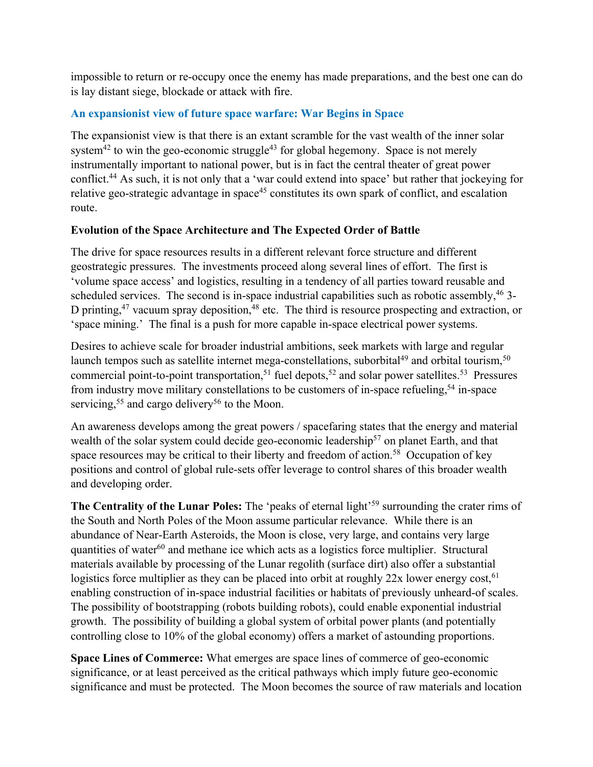impossible to return or re-occupy once the enemy has made preparations, and the best one can do is lay distant siege, blockade or attack with fire.

## **An expansionist view of future space warfare: War Begins in Space**

The expansionist view is that there is an extant scramble for the vast wealth of the inner solar system<sup>42</sup> to win the geo-economic struggle<sup>43</sup> for global hegemony. Space is not merely instrumentally important to national power, but is in fact the central theater of great power conflict.44 As such, it is not only that a 'war could extend into space' but rather that jockeying for relative geo-strategic advantage in space<sup>45</sup> constitutes its own spark of conflict, and escalation route.

## **Evolution of the Space Architecture and The Expected Order of Battle**

The drive for space resources results in a different relevant force structure and different geostrategic pressures. The investments proceed along several lines of effort. The first is 'volume space access' and logistics, resulting in a tendency of all parties toward reusable and scheduled services. The second is in-space industrial capabilities such as robotic assembly,  $46$  3-D printing,  $47$  vacuum spray deposition,  $48$  etc. The third is resource prospecting and extraction, or 'space mining.' The final is a push for more capable in-space electrical power systems.

Desires to achieve scale for broader industrial ambitions, seek markets with large and regular launch tempos such as satellite internet mega-constellations, suborbital<sup>49</sup> and orbital tourism,<sup>50</sup> commercial point-to-point transportation,<sup>51</sup> fuel depots,<sup>52</sup> and solar power satellites.<sup>53</sup> Pressures from industry move military constellations to be customers of in-space refueling,<sup>54</sup> in-space servicing,<sup>55</sup> and cargo delivery<sup>56</sup> to the Moon.

An awareness develops among the great powers / spacefaring states that the energy and material wealth of the solar system could decide geo-economic leadership<sup>57</sup> on planet Earth, and that space resources may be critical to their liberty and freedom of action.<sup>58</sup> Occupation of key positions and control of global rule-sets offer leverage to control shares of this broader wealth and developing order.

The Centrality of the Lunar Poles: The 'peaks of eternal light'<sup>59</sup> surrounding the crater rims of the South and North Poles of the Moon assume particular relevance. While there is an abundance of Near-Earth Asteroids, the Moon is close, very large, and contains very large quantities of water<sup>60</sup> and methane ice which acts as a logistics force multiplier. Structural materials available by processing of the Lunar regolith (surface dirt) also offer a substantial logistics force multiplier as they can be placed into orbit at roughly  $22x$  lower energy cost,<sup>61</sup> enabling construction of in-space industrial facilities or habitats of previously unheard-of scales. The possibility of bootstrapping (robots building robots), could enable exponential industrial growth. The possibility of building a global system of orbital power plants (and potentially controlling close to 10% of the global economy) offers a market of astounding proportions.

**Space Lines of Commerce:** What emerges are space lines of commerce of geo-economic significance, or at least perceived as the critical pathways which imply future geo-economic significance and must be protected. The Moon becomes the source of raw materials and location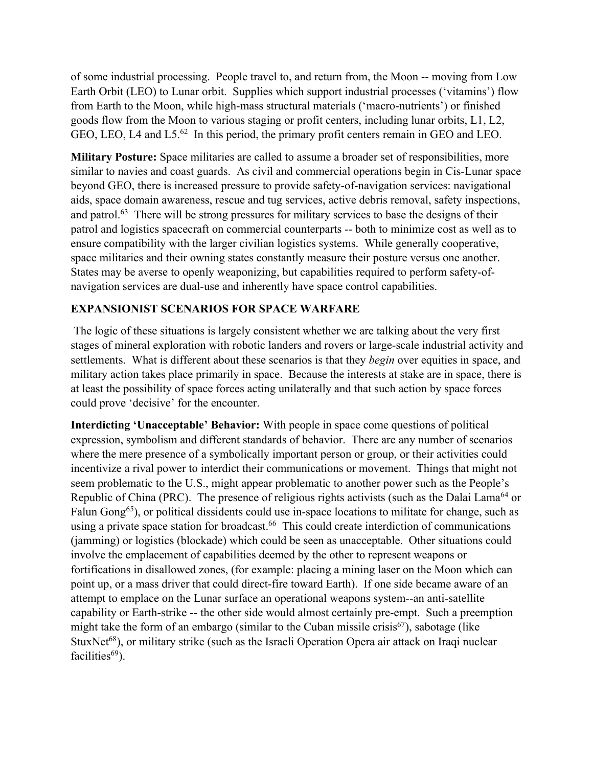of some industrial processing. People travel to, and return from, the Moon -- moving from Low Earth Orbit (LEO) to Lunar orbit. Supplies which support industrial processes ('vitamins') flow from Earth to the Moon, while high-mass structural materials ('macro-nutrients') or finished goods flow from the Moon to various staging or profit centers, including lunar orbits, L1, L2, GEO, LEO, L4 and L5.<sup>62</sup> In this period, the primary profit centers remain in GEO and LEO.

**Military Posture:** Space militaries are called to assume a broader set of responsibilities, more similar to navies and coast guards. As civil and commercial operations begin in Cis-Lunar space beyond GEO, there is increased pressure to provide safety-of-navigation services: navigational aids, space domain awareness, rescue and tug services, active debris removal, safety inspections, and patrol.<sup>63</sup> There will be strong pressures for military services to base the designs of their patrol and logistics spacecraft on commercial counterparts -- both to minimize cost as well as to ensure compatibility with the larger civilian logistics systems. While generally cooperative, space militaries and their owning states constantly measure their posture versus one another. States may be averse to openly weaponizing, but capabilities required to perform safety-ofnavigation services are dual-use and inherently have space control capabilities.

#### **EXPANSIONIST SCENARIOS FOR SPACE WARFARE**

The logic of these situations is largely consistent whether we are talking about the very first stages of mineral exploration with robotic landers and rovers or large-scale industrial activity and settlements. What is different about these scenarios is that they *begin* over equities in space, and military action takes place primarily in space. Because the interests at stake are in space, there is at least the possibility of space forces acting unilaterally and that such action by space forces could prove 'decisive' for the encounter.

**Interdicting 'Unacceptable' Behavior:** With people in space come questions of political expression, symbolism and different standards of behavior. There are any number of scenarios where the mere presence of a symbolically important person or group, or their activities could incentivize a rival power to interdict their communications or movement. Things that might not seem problematic to the U.S., might appear problematic to another power such as the People's Republic of China (PRC). The presence of religious rights activists (such as the Dalai Lama<sup>64</sup> or Falun Gong<sup>65</sup>), or political dissidents could use in-space locations to militate for change, such as using a private space station for broadcast.<sup>66</sup> This could create interdiction of communications (jamming) or logistics (blockade) which could be seen as unacceptable. Other situations could involve the emplacement of capabilities deemed by the other to represent weapons or fortifications in disallowed zones, (for example: placing a mining laser on the Moon which can point up, or a mass driver that could direct-fire toward Earth). If one side became aware of an attempt to emplace on the Lunar surface an operational weapons system--an anti-satellite capability or Earth-strike -- the other side would almost certainly pre-empt. Such a preemption might take the form of an embargo (similar to the Cuban missile crisis<sup>67</sup>), sabotage (like StuxNet<sup>68</sup>), or military strike (such as the Israeli Operation Opera air attack on Iraqi nuclear facilities $69$ ).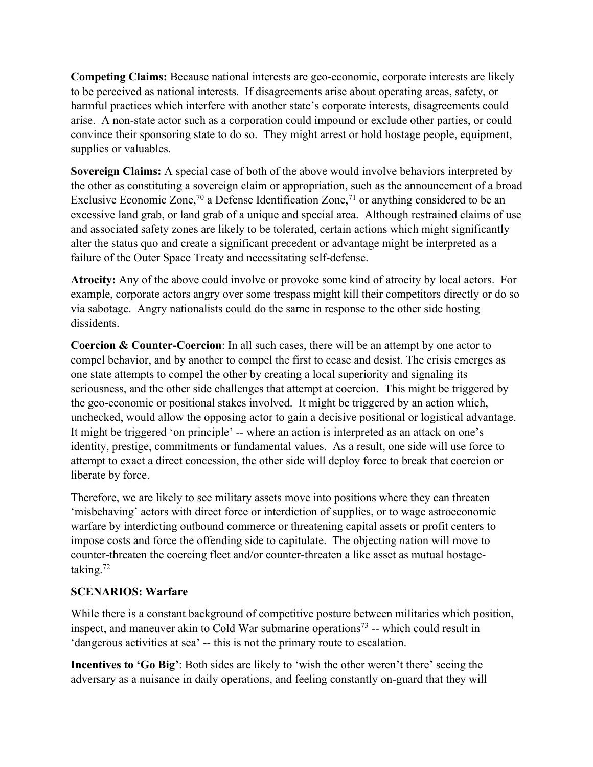**Competing Claims:** Because national interests are geo-economic, corporate interests are likely to be perceived as national interests. If disagreements arise about operating areas, safety, or harmful practices which interfere with another state's corporate interests, disagreements could arise. A non-state actor such as a corporation could impound or exclude other parties, or could convince their sponsoring state to do so. They might arrest or hold hostage people, equipment, supplies or valuables.

**Sovereign Claims:** A special case of both of the above would involve behaviors interpreted by the other as constituting a sovereign claim or appropriation, such as the announcement of a broad Exclusive Economic Zone,<sup>70</sup> a Defense Identification Zone,<sup>71</sup> or anything considered to be an excessive land grab, or land grab of a unique and special area. Although restrained claims of use and associated safety zones are likely to be tolerated, certain actions which might significantly alter the status quo and create a significant precedent or advantage might be interpreted as a failure of the Outer Space Treaty and necessitating self-defense.

**Atrocity:** Any of the above could involve or provoke some kind of atrocity by local actors. For example, corporate actors angry over some trespass might kill their competitors directly or do so via sabotage. Angry nationalists could do the same in response to the other side hosting dissidents.

**Coercion & Counter-Coercion**: In all such cases, there will be an attempt by one actor to compel behavior, and by another to compel the first to cease and desist. The crisis emerges as one state attempts to compel the other by creating a local superiority and signaling its seriousness, and the other side challenges that attempt at coercion. This might be triggered by the geo-economic or positional stakes involved. It might be triggered by an action which, unchecked, would allow the opposing actor to gain a decisive positional or logistical advantage. It might be triggered 'on principle' -- where an action is interpreted as an attack on one's identity, prestige, commitments or fundamental values. As a result, one side will use force to attempt to exact a direct concession, the other side will deploy force to break that coercion or liberate by force.

Therefore, we are likely to see military assets move into positions where they can threaten 'misbehaving' actors with direct force or interdiction of supplies, or to wage astroeconomic warfare by interdicting outbound commerce or threatening capital assets or profit centers to impose costs and force the offending side to capitulate. The objecting nation will move to counter-threaten the coercing fleet and/or counter-threaten a like asset as mutual hostagetaking. $72$ 

#### **SCENARIOS: Warfare**

While there is a constant background of competitive posture between militaries which position, inspect, and maneuver akin to Cold War submarine operations<sup>73</sup> -- which could result in 'dangerous activities at sea' -- this is not the primary route to escalation.

**Incentives to 'Go Big'**: Both sides are likely to 'wish the other weren't there' seeing the adversary as a nuisance in daily operations, and feeling constantly on-guard that they will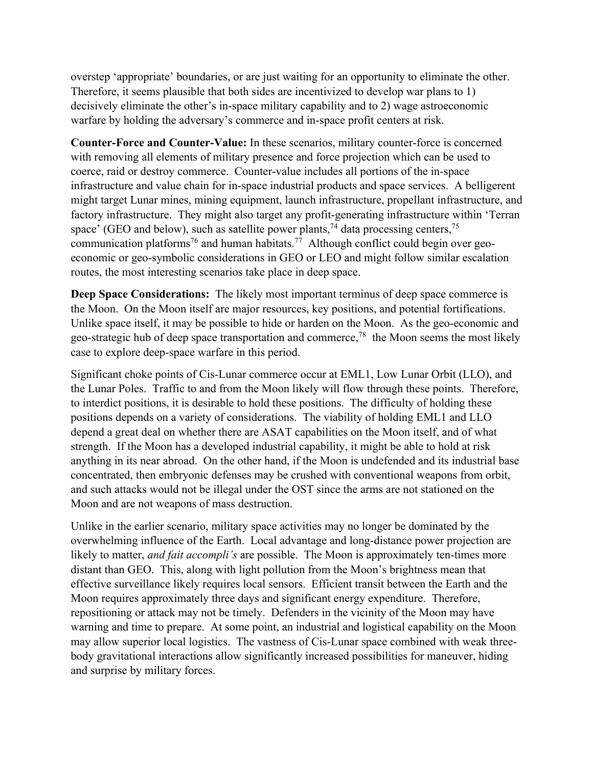overstep 'appropriate' boundaries, or are just waiting for an opportunity to eliminate the other. Therefore, it seems plausible that both sides are incentivized to develop war plans to 1) decisively eliminate the other's in-space military capability and to 2) wage astroeconomic warfare by holding the adversary's commerce and in-space profit centers at risk.

**Counter-Force and Counter-Value:** In these scenarios, military counter-force is concerned with removing all elements of military presence and force projection which can be used to coerce, raid or destroy commerce. Counter-value includes all portions of the in-space infrastructure and value chain for in-space industrial products and space services. A belligerent might target Lunar mines, mining equipment, launch infrastructure, propellant infrastructure, and factory infrastructure. They might also target any profit-generating infrastructure within 'Terran space' (GEO and below), such as satellite power plants,<sup>74</sup> data processing centers,<sup>75</sup> communication platforms<sup>76</sup> and human habitats.<sup>77</sup> Although conflict could begin over geoeconomic or geo-symbolic considerations in GEO or LEO and might follow similar escalation routes, the most interesting scenarios take place in deep space.

**Deep Space Considerations:** The likely most important terminus of deep space commerce is the Moon. On the Moon itself are major resources, key positions, and potential fortifications. Unlike space itself, it may be possible to hide or harden on the Moon. As the geo-economic and geo-strategic hub of deep space transportation and commerce,<sup>78</sup> the Moon seems the most likely case to explore deep-space warfare in this period.

Significant choke points of Cis-Lunar commerce occur at EML1, Low Lunar Orbit (LLO), and the Lunar Poles. Traffic to and from the Moon likely will flow through these points. Therefore, to interdict positions, it is desirable to hold these positions. The difficulty of holding these positions depends on a variety of considerations. The viability of holding EML1 and LLO depend a great deal on whether there are ASAT capabilities on the Moon itself, and of what strength. If the Moon has a developed industrial capability, it might be able to hold at risk anything in its near abroad. On the other hand, if the Moon is undefended and its industrial base concentrated, then embryonic defenses may be crushed with conventional weapons from orbit, and such attacks would not be illegal under the OST since the arms are not stationed on the Moon and are not weapons of mass destruction.

Unlike in the earlier scenario, military space activities may no longer be dominated by the overwhelming influence of the Earth. Local advantage and long-distance power projection are likely to matter, *and fait accompli's* are possible. The Moon is approximately ten-times more distant than GEO. This, along with light pollution from the Moon's brightness mean that effective surveillance likely requires local sensors. Efficient transit between the Earth and the Moon requires approximately three days and significant energy expenditure. Therefore, repositioning or attack may not be timely. Defenders in the vicinity of the Moon may have warning and time to prepare. At some point, an industrial and logistical capability on the Moon may allow superior local logistics. The vastness of Cis-Lunar space combined with weak threebody gravitational interactions allow significantly increased possibilities for maneuver, hiding and surprise by military forces.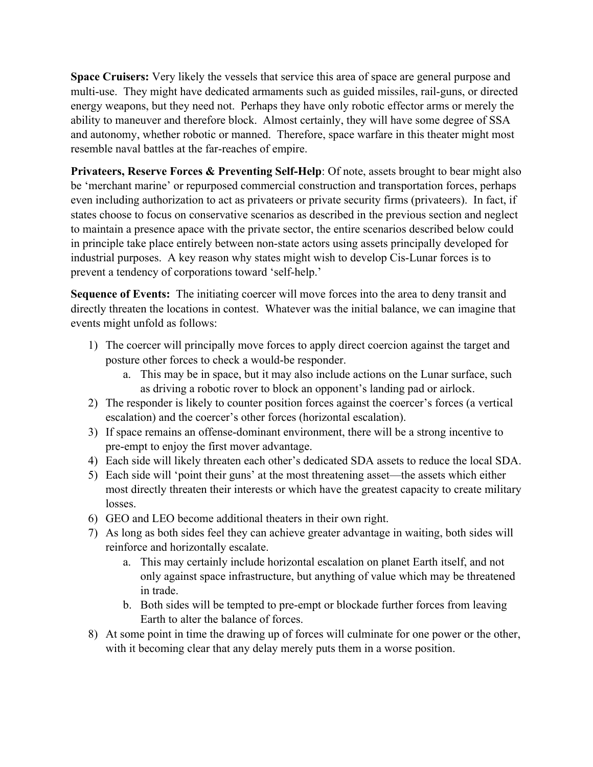**Space Cruisers:** Very likely the vessels that service this area of space are general purpose and multi-use. They might have dedicated armaments such as guided missiles, rail-guns, or directed energy weapons, but they need not. Perhaps they have only robotic effector arms or merely the ability to maneuver and therefore block. Almost certainly, they will have some degree of SSA and autonomy, whether robotic or manned. Therefore, space warfare in this theater might most resemble naval battles at the far-reaches of empire.

**Privateers, Reserve Forces & Preventing Self-Help**: Of note, assets brought to bear might also be 'merchant marine' or repurposed commercial construction and transportation forces, perhaps even including authorization to act as privateers or private security firms (privateers). In fact, if states choose to focus on conservative scenarios as described in the previous section and neglect to maintain a presence apace with the private sector, the entire scenarios described below could in principle take place entirely between non-state actors using assets principally developed for industrial purposes. A key reason why states might wish to develop Cis-Lunar forces is to prevent a tendency of corporations toward 'self-help.'

**Sequence of Events:** The initiating coercer will move forces into the area to deny transit and directly threaten the locations in contest. Whatever was the initial balance, we can imagine that events might unfold as follows:

- 1) The coercer will principally move forces to apply direct coercion against the target and posture other forces to check a would-be responder.
	- a. This may be in space, but it may also include actions on the Lunar surface, such as driving a robotic rover to block an opponent's landing pad or airlock.
- 2) The responder is likely to counter position forces against the coercer's forces (a vertical escalation) and the coercer's other forces (horizontal escalation).
- 3) If space remains an offense-dominant environment, there will be a strong incentive to pre-empt to enjoy the first mover advantage.
- 4) Each side will likely threaten each other's dedicated SDA assets to reduce the local SDA.
- 5) Each side will 'point their guns' at the most threatening asset—the assets which either most directly threaten their interests or which have the greatest capacity to create military losses.
- 6) GEO and LEO become additional theaters in their own right.
- 7) As long as both sides feel they can achieve greater advantage in waiting, both sides will reinforce and horizontally escalate.
	- a. This may certainly include horizontal escalation on planet Earth itself, and not only against space infrastructure, but anything of value which may be threatened in trade.
	- b. Both sides will be tempted to pre-empt or blockade further forces from leaving Earth to alter the balance of forces.
- 8) At some point in time the drawing up of forces will culminate for one power or the other, with it becoming clear that any delay merely puts them in a worse position.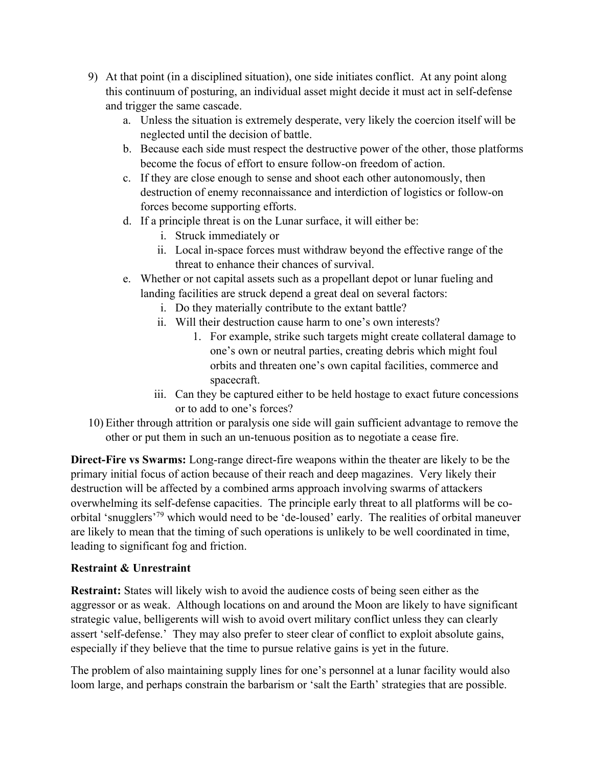- 9) At that point (in a disciplined situation), one side initiates conflict. At any point along this continuum of posturing, an individual asset might decide it must act in self-defense and trigger the same cascade.
	- a. Unless the situation is extremely desperate, very likely the coercion itself will be neglected until the decision of battle.
	- b. Because each side must respect the destructive power of the other, those platforms become the focus of effort to ensure follow-on freedom of action.
	- c. If they are close enough to sense and shoot each other autonomously, then destruction of enemy reconnaissance and interdiction of logistics or follow-on forces become supporting efforts.
	- d. If a principle threat is on the Lunar surface, it will either be:
		- i. Struck immediately or
		- ii. Local in-space forces must withdraw beyond the effective range of the threat to enhance their chances of survival.
	- e. Whether or not capital assets such as a propellant depot or lunar fueling and landing facilities are struck depend a great deal on several factors:
		- i. Do they materially contribute to the extant battle?
		- ii. Will their destruction cause harm to one's own interests?
			- 1. For example, strike such targets might create collateral damage to one's own or neutral parties, creating debris which might foul orbits and threaten one's own capital facilities, commerce and spacecraft.
		- iii. Can they be captured either to be held hostage to exact future concessions or to add to one's forces?
- 10) Either through attrition or paralysis one side will gain sufficient advantage to remove the other or put them in such an un-tenuous position as to negotiate a cease fire.

**Direct-Fire vs Swarms:** Long-range direct-fire weapons within the theater are likely to be the primary initial focus of action because of their reach and deep magazines. Very likely their destruction will be affected by a combined arms approach involving swarms of attackers overwhelming its self-defense capacities. The principle early threat to all platforms will be coorbital 'snugglers'79 which would need to be 'de-loused' early. The realities of orbital maneuver are likely to mean that the timing of such operations is unlikely to be well coordinated in time, leading to significant fog and friction.

#### **Restraint & Unrestraint**

**Restraint:** States will likely wish to avoid the audience costs of being seen either as the aggressor or as weak. Although locations on and around the Moon are likely to have significant strategic value, belligerents will wish to avoid overt military conflict unless they can clearly assert 'self-defense.' They may also prefer to steer clear of conflict to exploit absolute gains, especially if they believe that the time to pursue relative gains is yet in the future.

The problem of also maintaining supply lines for one's personnel at a lunar facility would also loom large, and perhaps constrain the barbarism or 'salt the Earth' strategies that are possible.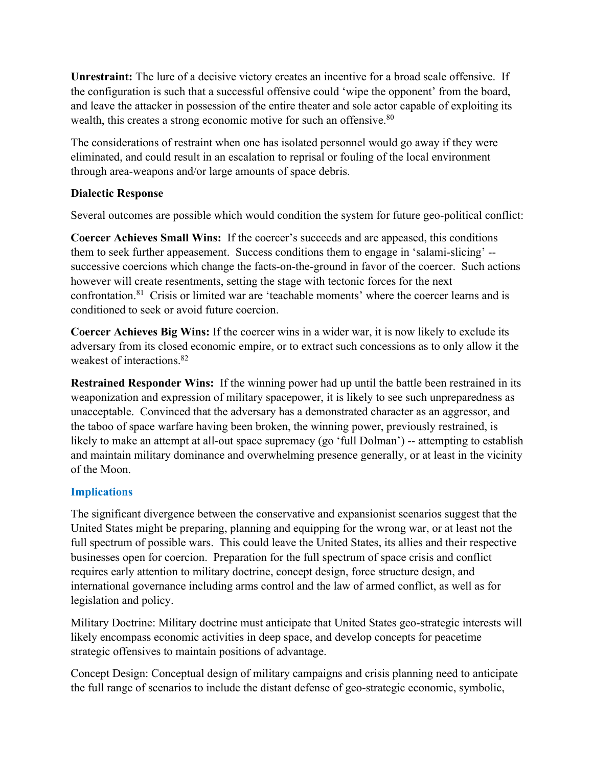**Unrestraint:** The lure of a decisive victory creates an incentive for a broad scale offensive. If the configuration is such that a successful offensive could 'wipe the opponent' from the board, and leave the attacker in possession of the entire theater and sole actor capable of exploiting its wealth, this creates a strong economic motive for such an offensive.<sup>80</sup>

The considerations of restraint when one has isolated personnel would go away if they were eliminated, and could result in an escalation to reprisal or fouling of the local environment through area-weapons and/or large amounts of space debris.

#### **Dialectic Response**

Several outcomes are possible which would condition the system for future geo-political conflict:

**Coercer Achieves Small Wins:** If the coercer's succeeds and are appeased, this conditions them to seek further appeasement. Success conditions them to engage in 'salami-slicing' - successive coercions which change the facts-on-the-ground in favor of the coercer. Such actions however will create resentments, setting the stage with tectonic forces for the next confrontation.<sup>81</sup> Crisis or limited war are 'teachable moments' where the coercer learns and is conditioned to seek or avoid future coercion.

**Coercer Achieves Big Wins:** If the coercer wins in a wider war, it is now likely to exclude its adversary from its closed economic empire, or to extract such concessions as to only allow it the weakest of interactions.<sup>82</sup>

**Restrained Responder Wins:** If the winning power had up until the battle been restrained in its weaponization and expression of military spacepower, it is likely to see such unpreparedness as unacceptable. Convinced that the adversary has a demonstrated character as an aggressor, and the taboo of space warfare having been broken, the winning power, previously restrained, is likely to make an attempt at all-out space supremacy (go 'full Dolman') -- attempting to establish and maintain military dominance and overwhelming presence generally, or at least in the vicinity of the Moon.

#### **Implications**

The significant divergence between the conservative and expansionist scenarios suggest that the United States might be preparing, planning and equipping for the wrong war, or at least not the full spectrum of possible wars. This could leave the United States, its allies and their respective businesses open for coercion. Preparation for the full spectrum of space crisis and conflict requires early attention to military doctrine, concept design, force structure design, and international governance including arms control and the law of armed conflict, as well as for legislation and policy.

Military Doctrine: Military doctrine must anticipate that United States geo-strategic interests will likely encompass economic activities in deep space, and develop concepts for peacetime strategic offensives to maintain positions of advantage.

Concept Design: Conceptual design of military campaigns and crisis planning need to anticipate the full range of scenarios to include the distant defense of geo-strategic economic, symbolic,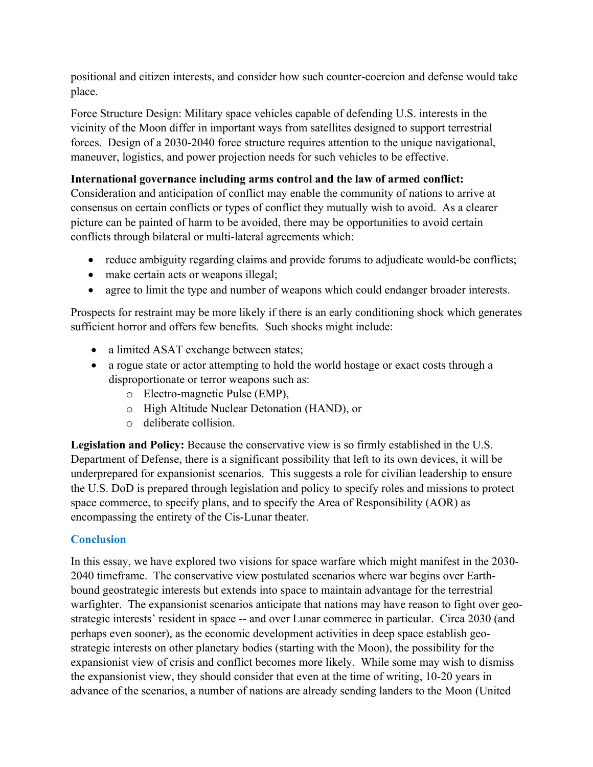positional and citizen interests, and consider how such counter-coercion and defense would take place.

Force Structure Design: Military space vehicles capable of defending U.S. interests in the vicinity of the Moon differ in important ways from satellites designed to support terrestrial forces. Design of a 2030-2040 force structure requires attention to the unique navigational, maneuver, logistics, and power projection needs for such vehicles to be effective.

## **International governance including arms control and the law of armed conflict:**

Consideration and anticipation of conflict may enable the community of nations to arrive at consensus on certain conflicts or types of conflict they mutually wish to avoid. As a clearer picture can be painted of harm to be avoided, there may be opportunities to avoid certain conflicts through bilateral or multi-lateral agreements which:

- reduce ambiguity regarding claims and provide forums to adjudicate would-be conflicts;
- make certain acts or weapons illegal;
- agree to limit the type and number of weapons which could endanger broader interests.

Prospects for restraint may be more likely if there is an early conditioning shock which generates sufficient horror and offers few benefits. Such shocks might include:

- a limited ASAT exchange between states;
- a rogue state or actor attempting to hold the world hostage or exact costs through a disproportionate or terror weapons such as:
	- o Electro-magnetic Pulse (EMP),
	- o High Altitude Nuclear Detonation (HAND), or
	- o deliberate collision.

**Legislation and Policy:** Because the conservative view is so firmly established in the U.S. Department of Defense, there is a significant possibility that left to its own devices, it will be underprepared for expansionist scenarios. This suggests a role for civilian leadership to ensure the U.S. DoD is prepared through legislation and policy to specify roles and missions to protect space commerce, to specify plans, and to specify the Area of Responsibility (AOR) as encompassing the entirety of the Cis-Lunar theater.

#### **Conclusion**

In this essay, we have explored two visions for space warfare which might manifest in the 2030- 2040 timeframe. The conservative view postulated scenarios where war begins over Earthbound geostrategic interests but extends into space to maintain advantage for the terrestrial warfighter. The expansionist scenarios anticipate that nations may have reason to fight over geostrategic interests' resident in space -- and over Lunar commerce in particular. Circa 2030 (and perhaps even sooner), as the economic development activities in deep space establish geostrategic interests on other planetary bodies (starting with the Moon), the possibility for the expansionist view of crisis and conflict becomes more likely. While some may wish to dismiss the expansionist view, they should consider that even at the time of writing, 10-20 years in advance of the scenarios, a number of nations are already sending landers to the Moon (United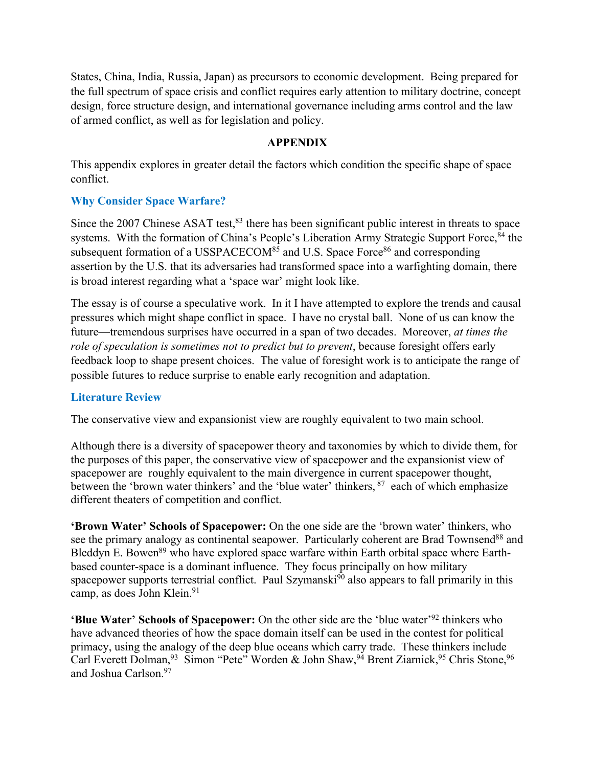States, China, India, Russia, Japan) as precursors to economic development. Being prepared for the full spectrum of space crisis and conflict requires early attention to military doctrine, concept design, force structure design, and international governance including arms control and the law of armed conflict, as well as for legislation and policy.

#### **APPENDIX**

This appendix explores in greater detail the factors which condition the specific shape of space conflict.

#### **Why Consider Space Warfare?**

Since the 2007 Chinese ASAT test, $83$  there has been significant public interest in threats to space systems. With the formation of China's People's Liberation Army Strategic Support Force, <sup>84</sup> the subsequent formation of a USSPACECOM $85$  and U.S. Space Force $86$  and corresponding assertion by the U.S. that its adversaries had transformed space into a warfighting domain, there is broad interest regarding what a 'space war' might look like.

The essay is of course a speculative work. In it I have attempted to explore the trends and causal pressures which might shape conflict in space. I have no crystal ball. None of us can know the future—tremendous surprises have occurred in a span of two decades. Moreover, *at times the role of speculation is sometimes not to predict but to prevent*, because foresight offers early feedback loop to shape present choices. The value of foresight work is to anticipate the range of possible futures to reduce surprise to enable early recognition and adaptation.

#### **Literature Review**

The conservative view and expansionist view are roughly equivalent to two main school.

Although there is a diversity of spacepower theory and taxonomies by which to divide them, for the purposes of this paper, the conservative view of spacepower and the expansionist view of spacepower are roughly equivalent to the main divergence in current spacepower thought, between the 'brown water thinkers' and the 'blue water' thinkers, <sup>87</sup> each of which emphasize different theaters of competition and conflict.

**'Brown Water' Schools of Spacepower:** On the one side are the 'brown water' thinkers, who see the primary analogy as continental seapower. Particularly coherent are Brad Townsend<sup>88</sup> and Bleddyn E. Bowen<sup>89</sup> who have explored space warfare within Earth orbital space where Earthbased counter-space is a dominant influence. They focus principally on how military spacepower supports terrestrial conflict. Paul Szymanski<sup>90</sup> also appears to fall primarily in this camp, as does John Klein.<sup>91</sup>

**'Blue Water' Schools of Spacepower:** On the other side are the 'blue water'92 thinkers who have advanced theories of how the space domain itself can be used in the contest for political primacy, using the analogy of the deep blue oceans which carry trade. These thinkers include Carl Everett Dolman,<sup>93</sup> Simon "Pete" Worden & John Shaw,<sup>94</sup> Brent Ziarnick,<sup>95</sup> Chris Stone,<sup>96</sup> and Joshua Carlson.97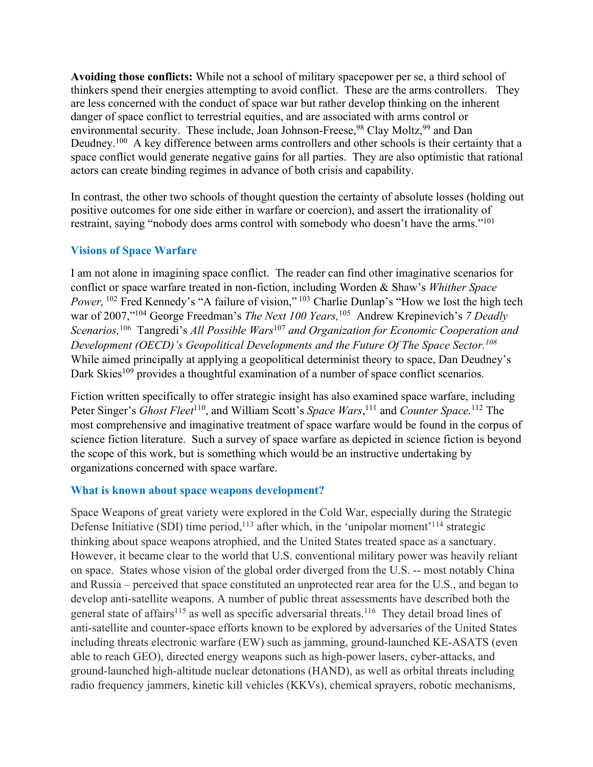**Avoiding those conflicts:** While not a school of military spacepower per se, a third school of thinkers spend their energies attempting to avoid conflict. These are the arms controllers. They are less concerned with the conduct of space war but rather develop thinking on the inherent danger of space conflict to terrestrial equities, and are associated with arms control or environmental security. These include, Joan Johnson-Freese,<sup>98</sup> Clay Moltz,<sup>99</sup> and Dan Deudney.<sup>100</sup> A key difference between arms controllers and other schools is their certainty that a space conflict would generate negative gains for all parties. They are also optimistic that rational actors can create binding regimes in advance of both crisis and capability.

In contrast, the other two schools of thought question the certainty of absolute losses (holding out positive outcomes for one side either in warfare or coercion), and assert the irrationality of restraint, saying "nobody does arms control with somebody who doesn't have the arms."<sup>101</sup>

## **Visions of Space Warfare**

I am not alone in imagining space conflict. The reader can find other imaginative scenarios for conflict or space warfare treated in non-fiction, including Worden & Shaw's *Whither Space Power*, <sup>102</sup> Fred Kennedy's "A failure of vision," <sup>103</sup> Charlie Dunlap's "How we lost the high tech war of 2007,"104 George Freedman's *The Next 100 Years,*105 Andrew Krepinevich's *7 Deadly Scenarios,*<sup>106</sup> Tangredi's *All Possible Wars*<sup>107</sup> *and Organization for Economic Cooperation and Development (OECD)'s Geopolitical Developments and the Future Of The Space Sector.108* While aimed principally at applying a geopolitical determinist theory to space, Dan Deudney's Dark Skies<sup>109</sup> provides a thoughtful examination of a number of space conflict scenarios.

Fiction written specifically to offer strategic insight has also examined space warfare, including Peter Singer's *Ghost Fleet*<sup>110</sup>, and William Scott's *Space Wars*,<sup>111</sup> and *Counter Space*.<sup>112</sup> The most comprehensive and imaginative treatment of space warfare would be found in the corpus of science fiction literature. Such a survey of space warfare as depicted in science fiction is beyond the scope of this work, but is something which would be an instructive undertaking by organizations concerned with space warfare.

#### **What is known about space weapons development?**

Space Weapons of great variety were explored in the Cold War, especially during the Strategic Defense Initiative (SDI) time period,<sup>113</sup> after which, in the 'unipolar moment'<sup>114</sup> strategic thinking about space weapons atrophied, and the United States treated space as a sanctuary. However, it became clear to the world that U.S. conventional military power was heavily reliant on space. States whose vision of the global order diverged from the U.S. -- most notably China and Russia – perceived that space constituted an unprotected rear area for the U.S., and began to develop anti-satellite weapons. A number of public threat assessments have described both the general state of affairs<sup>115</sup> as well as specific adversarial threats.<sup>116</sup> They detail broad lines of anti-satellite and counter-space efforts known to be explored by adversaries of the United States including threats electronic warfare (EW) such as jamming, ground-launched KE-ASATS (even able to reach GEO), directed energy weapons such as high-power lasers, cyber-attacks, and ground-launched high-altitude nuclear detonations (HAND), as well as orbital threats including radio frequency jammers, kinetic kill vehicles (KKVs), chemical sprayers, robotic mechanisms,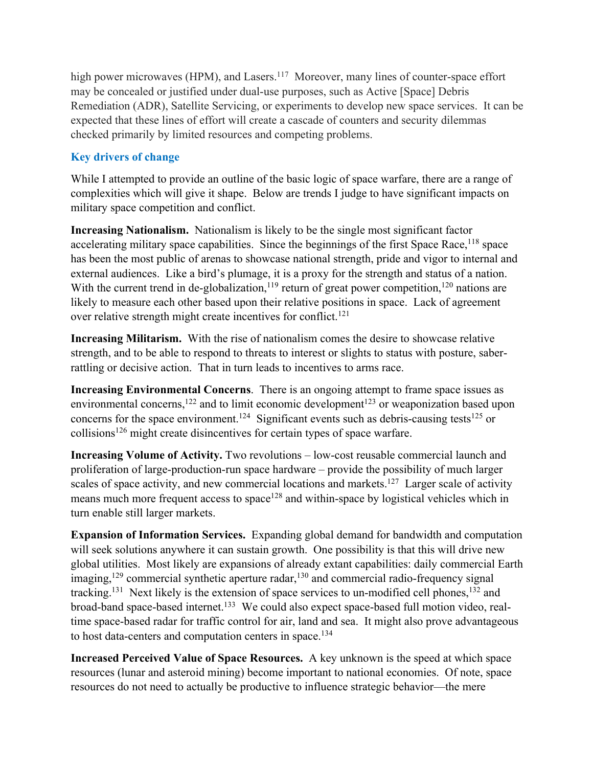high power microwaves (HPM), and Lasers.<sup>117</sup> Moreover, many lines of counter-space effort may be concealed or justified under dual-use purposes, such as Active [Space] Debris Remediation (ADR), Satellite Servicing, or experiments to develop new space services. It can be expected that these lines of effort will create a cascade of counters and security dilemmas checked primarily by limited resources and competing problems.

# **Key drivers of change**

While I attempted to provide an outline of the basic logic of space warfare, there are a range of complexities which will give it shape. Below are trends I judge to have significant impacts on military space competition and conflict.

**Increasing Nationalism.** Nationalism is likely to be the single most significant factor accelerating military space capabilities. Since the beginnings of the first Space Race,  $^{118}$  space has been the most public of arenas to showcase national strength, pride and vigor to internal and external audiences. Like a bird's plumage, it is a proxy for the strength and status of a nation. With the current trend in de-globalization,<sup>119</sup> return of great power competition,<sup>120</sup> nations are likely to measure each other based upon their relative positions in space. Lack of agreement over relative strength might create incentives for conflict.<sup>121</sup>

**Increasing Militarism.** With the rise of nationalism comes the desire to showcase relative strength, and to be able to respond to threats to interest or slights to status with posture, saberrattling or decisive action. That in turn leads to incentives to arms race.

**Increasing Environmental Concerns**. There is an ongoing attempt to frame space issues as environmental concerns,<sup>122</sup> and to limit economic development<sup>123</sup> or weaponization based upon concerns for the space environment.<sup>124</sup> Significant events such as debris-causing tests<sup>125</sup> or collisions<sup>126</sup> might create disincentives for certain types of space warfare.

**Increasing Volume of Activity.** Two revolutions – low-cost reusable commercial launch and proliferation of large-production-run space hardware – provide the possibility of much larger scales of space activity, and new commercial locations and markets.<sup>127</sup> Larger scale of activity means much more frequent access to space<sup>128</sup> and within-space by logistical vehicles which in turn enable still larger markets.

**Expansion of Information Services.** Expanding global demand for bandwidth and computation will seek solutions anywhere it can sustain growth. One possibility is that this will drive new global utilities. Most likely are expansions of already extant capabilities: daily commercial Earth imaging,<sup>129</sup> commercial synthetic aperture radar,<sup>130</sup> and commercial radio-frequency signal tracking.<sup>131</sup> Next likely is the extension of space services to un-modified cell phones,  $132$  and broad-band space-based internet.<sup>133</sup> We could also expect space-based full motion video, realtime space-based radar for traffic control for air, land and sea. It might also prove advantageous to host data-centers and computation centers in space.<sup>134</sup>

**Increased Perceived Value of Space Resources.** A key unknown is the speed at which space resources (lunar and asteroid mining) become important to national economies. Of note, space resources do not need to actually be productive to influence strategic behavior—the mere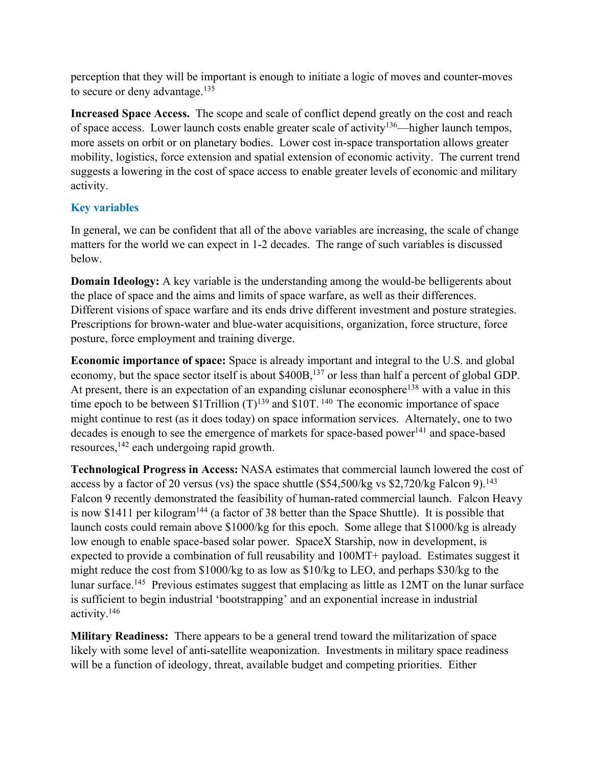perception that they will be important is enough to initiate a logic of moves and counter-moves to secure or deny advantage.<sup>135</sup>

**Increased Space Access.** The scope and scale of conflict depend greatly on the cost and reach of space access. Lower launch costs enable greater scale of activity<sup>136</sup>—higher launch tempos, more assets on orbit or on planetary bodies. Lower cost in-space transportation allows greater mobility, logistics, force extension and spatial extension of economic activity. The current trend suggests a lowering in the cost of space access to enable greater levels of economic and military activity.

# **Key variables**

In general, we can be confident that all of the above variables are increasing, the scale of change matters for the world we can expect in 1-2 decades. The range of such variables is discussed below.

**Domain Ideology:** A key variable is the understanding among the would-be belligerents about the place of space and the aims and limits of space warfare, as well as their differences. Different visions of space warfare and its ends drive different investment and posture strategies. Prescriptions for brown-water and blue-water acquisitions, organization, force structure, force posture, force employment and training diverge.

**Economic importance of space:** Space is already important and integral to the U.S. and global economy, but the space sector itself is about \$400B,<sup>137</sup> or less than half a percent of global GDP. At present, there is an expectation of an expanding cislunar econosphere<sup>138</sup> with a value in this time epoch to be between  $$1Trillion (T)<sup>139</sup>$  and  $$10T<sup>140</sup>$  The economic importance of space might continue to rest (as it does today) on space information services. Alternately, one to two decades is enough to see the emergence of markets for space-based power<sup>141</sup> and space-based resources,142 each undergoing rapid growth.

**Technological Progress in Access:** NASA estimates that commercial launch lowered the cost of access by a factor of 20 versus (vs) the space shuttle (\$54,500/kg vs \$2,720/kg Falcon 9).<sup>143</sup> Falcon 9 recently demonstrated the feasibility of human-rated commercial launch. Falcon Heavy is now \$1411 per kilogram<sup>144</sup> (a factor of 38 better than the Space Shuttle). It is possible that launch costs could remain above \$1000/kg for this epoch. Some allege that \$1000/kg is already low enough to enable space-based solar power. SpaceX Starship, now in development, is expected to provide a combination of full reusability and 100MT+ payload. Estimates suggest it might reduce the cost from \$1000/kg to as low as \$10/kg to LEO, and perhaps \$30/kg to the lunar surface.<sup>145</sup> Previous estimates suggest that emplacing as little as 12MT on the lunar surface is sufficient to begin industrial 'bootstrapping' and an exponential increase in industrial activity.146

**Military Readiness:** There appears to be a general trend toward the militarization of space likely with some level of anti-satellite weaponization. Investments in military space readiness will be a function of ideology, threat, available budget and competing priorities. Either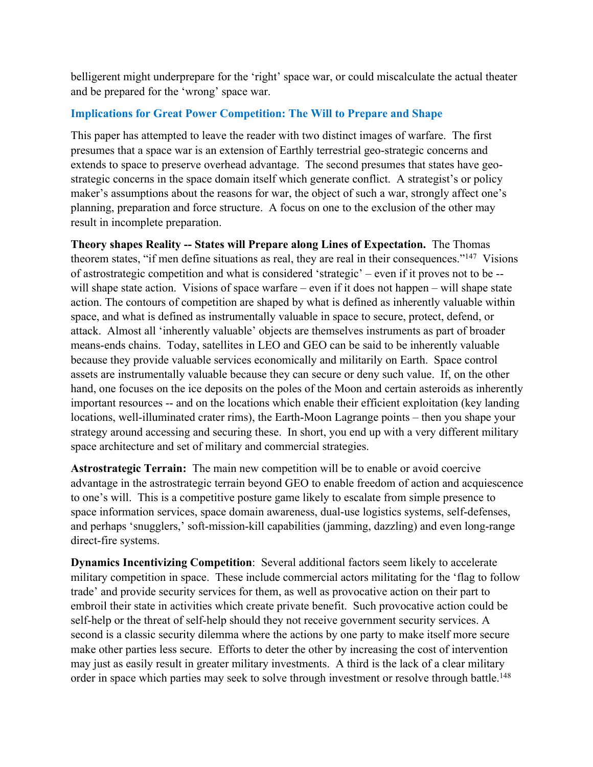belligerent might underprepare for the 'right' space war, or could miscalculate the actual theater and be prepared for the 'wrong' space war.

## **Implications for Great Power Competition: The Will to Prepare and Shape**

This paper has attempted to leave the reader with two distinct images of warfare. The first presumes that a space war is an extension of Earthly terrestrial geo-strategic concerns and extends to space to preserve overhead advantage. The second presumes that states have geostrategic concerns in the space domain itself which generate conflict. A strategist's or policy maker's assumptions about the reasons for war, the object of such a war, strongly affect one's planning, preparation and force structure. A focus on one to the exclusion of the other may result in incomplete preparation.

**Theory shapes Reality -- States will Prepare along Lines of Expectation.** The Thomas theorem states, "if men define situations as real, they are real in their consequences."147 Visions of astrostrategic competition and what is considered 'strategic' – even if it proves not to be - will shape state action. Visions of space warfare – even if it does not happen – will shape state action. The contours of competition are shaped by what is defined as inherently valuable within space, and what is defined as instrumentally valuable in space to secure, protect, defend, or attack. Almost all 'inherently valuable' objects are themselves instruments as part of broader means-ends chains. Today, satellites in LEO and GEO can be said to be inherently valuable because they provide valuable services economically and militarily on Earth. Space control assets are instrumentally valuable because they can secure or deny such value. If, on the other hand, one focuses on the ice deposits on the poles of the Moon and certain asteroids as inherently important resources -- and on the locations which enable their efficient exploitation (key landing locations, well-illuminated crater rims), the Earth-Moon Lagrange points – then you shape your strategy around accessing and securing these. In short, you end up with a very different military space architecture and set of military and commercial strategies.

**Astrostrategic Terrain:** The main new competition will be to enable or avoid coercive advantage in the astrostrategic terrain beyond GEO to enable freedom of action and acquiescence to one's will. This is a competitive posture game likely to escalate from simple presence to space information services, space domain awareness, dual-use logistics systems, self-defenses, and perhaps 'snugglers,' soft-mission-kill capabilities (jamming, dazzling) and even long-range direct-fire systems.

**Dynamics Incentivizing Competition**: Several additional factors seem likely to accelerate military competition in space. These include commercial actors militating for the 'flag to follow trade' and provide security services for them, as well as provocative action on their part to embroil their state in activities which create private benefit. Such provocative action could be self-help or the threat of self-help should they not receive government security services. A second is a classic security dilemma where the actions by one party to make itself more secure make other parties less secure. Efforts to deter the other by increasing the cost of intervention may just as easily result in greater military investments. A third is the lack of a clear military order in space which parties may seek to solve through investment or resolve through battle.<sup>148</sup>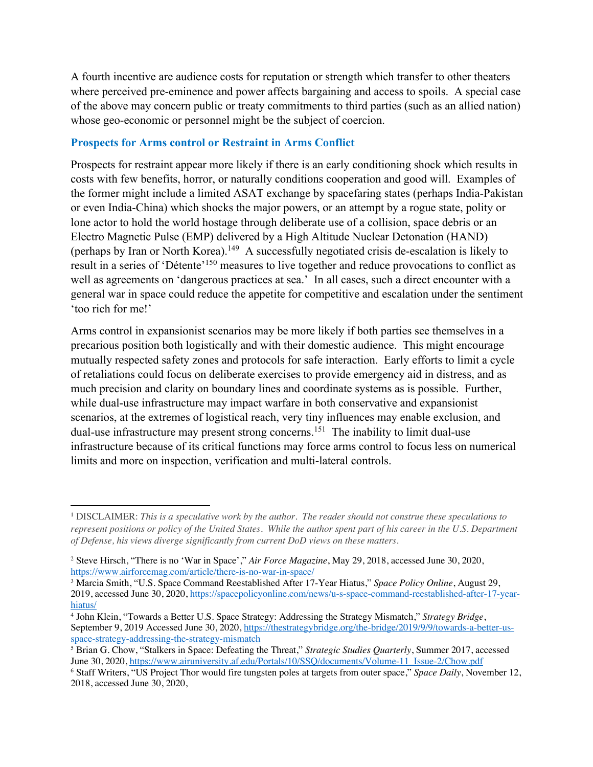A fourth incentive are audience costs for reputation or strength which transfer to other theaters where perceived pre-eminence and power affects bargaining and access to spoils. A special case of the above may concern public or treaty commitments to third parties (such as an allied nation) whose geo-economic or personnel might be the subject of coercion.

#### **Prospects for Arms control or Restraint in Arms Conflict**

Prospects for restraint appear more likely if there is an early conditioning shock which results in costs with few benefits, horror, or naturally conditions cooperation and good will. Examples of the former might include a limited ASAT exchange by spacefaring states (perhaps India-Pakistan or even India-China) which shocks the major powers, or an attempt by a rogue state, polity or lone actor to hold the world hostage through deliberate use of a collision, space debris or an Electro Magnetic Pulse (EMP) delivered by a High Altitude Nuclear Detonation (HAND) (perhaps by Iran or North Korea).149 A successfully negotiated crisis de-escalation is likely to result in a series of 'Détente'150 measures to live together and reduce provocations to conflict as well as agreements on 'dangerous practices at sea.' In all cases, such a direct encounter with a general war in space could reduce the appetite for competitive and escalation under the sentiment 'too rich for me!'

Arms control in expansionist scenarios may be more likely if both parties see themselves in a precarious position both logistically and with their domestic audience. This might encourage mutually respected safety zones and protocols for safe interaction. Early efforts to limit a cycle of retaliations could focus on deliberate exercises to provide emergency aid in distress, and as much precision and clarity on boundary lines and coordinate systems as is possible. Further, while dual-use infrastructure may impact warfare in both conservative and expansionist scenarios, at the extremes of logistical reach, very tiny influences may enable exclusion, and dual-use infrastructure may present strong concerns.<sup>151</sup> The inability to limit dual-use infrastructure because of its critical functions may force arms control to focus less on numerical limits and more on inspection, verification and multi-lateral controls.

<sup>1</sup> DISCLAIMER: *This is a speculative work by the author. The reader should not construe these speculations to represent positions or policy of the United States. While the author spent part of his career in the U.S. Department of Defense, his views diverge significantly from current DoD views on these matters.* 

<sup>2</sup> Steve Hirsch, "There is no 'War in Space'," *Air Force Magazine*, May 29, 2018, accessed June 30, 2020, https://www.airforcemag.com/article/there-is-no-war-in-space/

<sup>3</sup> Marcia Smith, "U.S. Space Command Reestablished After 17-Year Hiatus," *Space Policy Online*, August 29, 2019, accessed June 30, 2020, https://spacepolicyonline.com/news/u-s-space-command-reestablished-after-17-yearhiatus/

<sup>4</sup> John Klein, "Towards a Better U.S. Space Strategy: Addressing the Strategy Mismatch," *Strategy Bridge*, September 9, 2019 Accessed June 30, 2020, https://thestrategybridge.org/the-bridge/2019/9/9/towards-a-better-usspace-strategy-addressing-the-strategy-mismatch

<sup>&</sup>lt;sup>5</sup> Brian G. Chow, "Stalkers in Space: Defeating the Threat," *Strategic Studies Quarterly*, Summer 2017, accessed June 30, 2020, https://www.airuniversity.af.edu/Portals/10/SSQ/documents/Volume-11\_Issue-2/Chow.pdf

<sup>6</sup> Staff Writers, "US Project Thor would fire tungsten poles at targets from outer space," *Space Daily*, November 12, 2018, accessed June 30, 2020,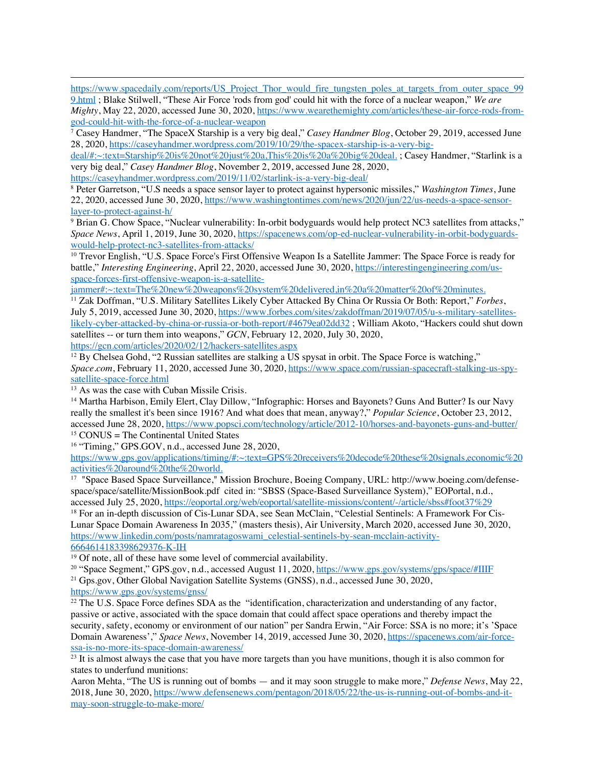https://www.spacedaily.com/reports/US\_Project\_Thor\_would\_fire\_tungsten\_poles\_at\_targets\_from\_outer\_space\_99 9.html ; Blake Stilwell, "These Air Force 'rods from god' could hit with the force of a nuclear weapon," *We are* 

*Mighty*, May 22, 2020, accessed June 30, 2020, https://www.wearethemighty.com/articles/these-air-force-rods-fromgod-could-hit-with-the-force-of-a-nuclear-weapon

<sup>7</sup> Casey Handmer, "The SpaceX Starship is a very big deal," *Casey Handmer Blog*, October 29, 2019, accessed June 28, 2020, https://caseyhandmer.wordpress.com/2019/10/29/the-spacex-starship-is-a-very-big-

deal/#:~:text=Starship%20is%20not%20just%20a,This%20is%20a%20big%20deal. ; Casey Handmer, "Starlink is a very big deal," *Casey Handmer Blog*, November 2, 2019, accessed June 28, 2020,

https://caseyhandmer.wordpress.com/2019/11/02/starlink-is-a-very-big-deal/

<sup>8</sup> Peter Garretson, "U.S needs a space sensor layer to protect against hypersonic missiles," *Washington Times*, June 22, 2020, accessed June 30, 2020, https://www.washingtontimes.com/news/2020/jun/22/us-needs-a-space-sensorlayer-to-protect-against-h/

<sup>9</sup> Brian G. Chow Space, "Nuclear vulnerability: In-orbit bodyguards would help protect NC3 satellites from attacks," *Space News*, April 1, 2019, June 30, 2020, https://spacenews.com/op-ed-nuclear-vulnerability-in-orbit-bodyguardswould-help-protect-nc3-satellites-from-attacks/

<sup>10</sup> Trevor English, "U.S. Space Force's First Offensive Weapon Is a Satellite Jammer: The Space Force is ready for battle," *Interesting Engineering*, April 22, 2020, accessed June 30, 2020, https://interestingengineering.com/usspace-forces-first-offensive-weapon-is-a-satellite-

jammer#:~:text=The%20new%20weapons%20system%20delivered,in%20a%20matter%20of%20minutes.

<sup>11</sup> Zak Doffman, "U.S. Military Satellites Likely Cyber Attacked By China Or Russia Or Both: Report," *Forbes*, July 5, 2019, accessed June 30, 2020, https://www.forbes.com/sites/zakdoffman/2019/07/05/u-s-military-satelliteslikely-cyber-attacked-by-china-or-russia-or-both-report/#4679ea02dd32 ; William Akoto, "Hackers could shut down satellites -- or turn them into weapons," *GCN*, February 12, 2020, July 30, 2020, https://gcn.com/articles/2020/02/12/hackers-satellites.aspx

<sup>12</sup> By Chelsea Gohd, "2 Russian satellites are stalking a US spysat in orbit. The Space Force is watching," *Space.com*, February 11, 2020, accessed June 30, 2020, https://www.space.com/russian-spacecraft-stalking-us-spysatellite-space-force.html

<sup>13</sup> As was the case with Cuban Missile Crisis.

<sup>14</sup> Martha Harbison, Emily Elert, Clay Dillow, "Infographic: Horses and Bayonets? Guns And Butter? Is our Navy really the smallest it's been since 1916? And what does that mean, anyway?," *Popular Science*, October 23, 2012, accessed June 28, 2020, https://www.popsci.com/technology/article/2012-10/horses-and-bayonets-guns-and-butter/  $15$  CONUS = The Continental United States

<sup>16</sup> "Timing," GPS.GOV, n.d., accessed June 28, 2020,

https://www.gps.gov/applications/timing/#:~:text=GPS%20receivers%20decode%20these%20signals,economic%20 activities%20around%20the%20world.

<sup>17</sup> "Space Based Space Surveillance," Mission Brochure, Boeing Company, URL: http://www.boeing.com/defensespace/space/satellite/MissionBook.pdf cited in: "SBSS (Space-Based Surveillance System)," EOPortal, n.d., accessed July 25, 2020, https://eoportal.org/web/eoportal/satellite-missions/content/-/article/sbss#foot37%29

<sup>18</sup> For an in-depth discussion of Cis-Lunar SDA, see Sean McClain, "Celestial Sentinels: A Framework For Cis-Lunar Space Domain Awareness In 2035," (masters thesis), Air University, March 2020, accessed June 30, 2020, https://www.linkedin.com/posts/namratagoswami\_celestial-sentinels-by-sean-mcclain-activity-6664614183398629376-K-IH

<sup>19</sup> Of note, all of these have some level of commercial availability.

<sup>20</sup> "Space Segment," GPS.gov, n.d., accessed August 11, 2020, https://www.gps.gov/systems/gps/space/#IIIF <sup>21</sup> Gps.gov, Other Global Navigation Satellite Systems (GNSS), n.d., accessed June 30, 2020,

https://www.gps.gov/systems/gnss/

<sup>22</sup> The U.S. Space Force defines SDA as the "identification, characterization and understanding of any factor, passive or active, associated with the space domain that could affect space operations and thereby impact the security, safety, economy or environment of our nation" per Sandra Erwin, "Air Force: SSA is no more; it's 'Space Domain Awareness'," *Space News*, November 14, 2019, accessed June 30, 2020, https://spacenews.com/air-forcessa-is-no-more-its-space-domain-awareness/

 $23$  It is almost always the case that you have more targets than you have munitions, though it is also common for states to underfund munitions:

Aaron Mehta, "The US is running out of bombs — and it may soon struggle to make more," *Defense News*, May 22, 2018, June 30, 2020, https://www.defensenews.com/pentagon/2018/05/22/the-us-is-running-out-of-bombs-and-itmay-soon-struggle-to-make-more/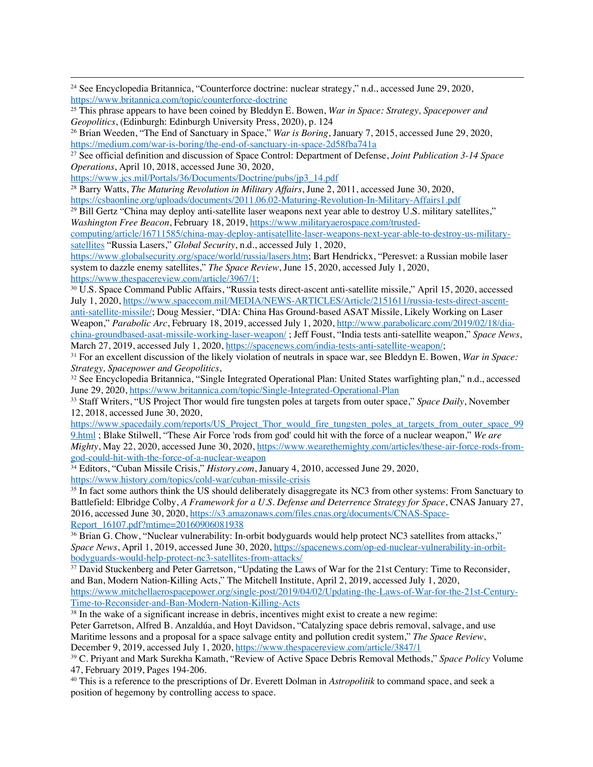<sup>24</sup> See Encyclopedia Britannica, "Counterforce doctrine: nuclear strategy," n.d., accessed June 29, 2020, https://www.britannica.com/topic/counterforce-doctrine

<sup>27</sup> See official definition and discussion of Space Control: Department of Defense, *Joint Publication 3-14 Space Operations*, April 10, 2018, accessed June 30, 2020,

https://www.jcs.mil/Portals/36/Documents/Doctrine/pubs/jp3\_14.pdf

<sup>28</sup> Barry Watts, *The Maturing Revolution in Military Affairs*, June 2, 2011, accessed June 30, 2020, https://csbaonline.org/uploads/documents/2011.06.02-Maturing-Revolution-In-Military-Affairs1.pdf

<sup>29</sup> Bill Gertz "China may deploy anti-satellite laser weapons next year able to destroy U.S. military satellites," *Washington Free Beacon*, February 18, 2019, https://www.militaryaerospace.com/trusted-

computing/article/16711585/china-may-deploy-antisatellite-laser-weapons-next-year-able-to-destroy-us-militarysatellites "Russia Lasers," *Global Security*, n.d., accessed July 1, 2020,

https://www.globalsecurity.org/space/world/russia/lasers.htm; Bart Hendrickx, "Peresvet: a Russian mobile laser system to dazzle enemy satellites," *The Space Review*, June 15, 2020, accessed July 1, 2020,

https://www.thespacereview.com/article/3967/1;<br><sup>30</sup> U.S. Space Command Public Affairs, "Russia tests direct-ascent anti-satellite missile," April 15, 2020, accessed July 1, 2020, https://www.spacecom.mil/MEDIA/NEWS-ARTICLES/Article/2151611/russia-tests-direct-ascentanti-satellite-missile/; Doug Messier, "DIA: China Has Ground-based ASAT Missile, Likely Working on Laser Weapon," *Parabolic Arc*, February 18, 2019, accessed July 1, 2020, http://www.parabolicarc.com/2019/02/18/dia-

china-groundbased-asat-missile-working-laser-weapon/ ; Jeff Foust, "India tests anti-satellite weapon," *Space News*,

<sup>31</sup> For an excellent discussion of the likely violation of neutrals in space war, see Bleddyn E. Bowen, *War in Space: Strategy, Spacepower and Geopolitics*,

<sup>32</sup> See Encyclopedia Britannica, "Single Integrated Operational Plan: United States warfighting plan," n.d., accessed June 29, 2020, https://www.britannica.com/topic/Single-Integrated-Operational-Plan

<sup>33</sup> Staff Writers, "US Project Thor would fire tungsten poles at targets from outer space," *Space Daily*, November 12, 2018, accessed June 30, 2020,

https://www.spacedaily.com/reports/US\_Project\_Thor\_would\_fire\_tungsten\_poles\_at\_targets\_from\_outer\_space\_99 9.html ; Blake Stilwell, "These Air Force 'rods from god' could hit with the force of a nuclear weapon," *We are Mighty*, May 22, 2020, accessed June 30, 2020, https://www.wearethemighty.com/articles/these-air-force-rods-fromgod-could-hit-with-the-force-of-a-nuclear-weapon

<sup>34</sup> Editors, "Cuban Missile Crisis," *History.com*, January 4, 2010, accessed June 29, 2020, https://www.history.com/topics/cold-war/cuban-missile-crisis

<sup>35</sup> In fact some authors think the US should deliberately disaggregate its NC3 from other systems: From Sanctuary to Battlefield: Elbridge Colby, *A Framework for a U.S. Defense and Deterrence Strategy for Space*, CNAS January 27, 2016, accessed June 30, 2020, https://s3.amazonaws.com/files.cnas.org/documents/CNAS-Space-Report 16107.pdf?mtime=20160906081938

<sup>36</sup> Brian G. Chow, "Nuclear vulnerability: In-orbit bodyguards would help protect NC3 satellites from attacks," *Space News*, April 1, 2019, accessed June 30, 2020, https://spacenews.com/op-ed-nuclear-vulnerability-in-orbitbodyguards-would-help-protect-nc3-satellites-from-attacks/

<sup>37</sup> David Stuckenberg and Peter Garretson, "Updating the Laws of War for the 21st Century: Time to Reconsider, and Ban, Modern Nation-Killing Acts," The Mitchell Institute, April 2, 2019, accessed July 1, 2020, https://www.mitchellaerospacepower.org/single-post/2019/04/02/Updating-the-Laws-of-War-for-the-21st-Century-Time-to-Reconsider-and-Ban-Modern-Nation-Killing-Acts

<sup>38</sup> In the wake of a significant increase in debris, incentives might exist to create a new regime:

Peter Garretson, Alfred B. Anzaldúa, and Hoyt Davidson, "Catalyzing space debris removal, salvage, and use Maritime lessons and a proposal for a space salvage entity and pollution credit system," *The Space Review*, December 9, 2019, accessed July 1, 2020, https://www.thespacereview.com/article/3847/1

<sup>39</sup> C. Priyant and Mark Surekha Kamath, "Review of Active Space Debris Removal Methods," *Space Policy* Volume 47, February 2019, Pages 194-206.

<sup>40</sup> This is a reference to the prescriptions of Dr. Everett Dolman in *Astropolitik* to command space, and seek a position of hegemony by controlling access to space.

<sup>25</sup> This phrase appears to have been coined by Bleddyn E. Bowen, *War in Space: Strategy, Spacepower and Geopolitics*, (Edinburgh: Edinburgh University Press, 2020), p. 124

<sup>26</sup> Brian Weeden, "The End of Sanctuary in Space," *War is Boring*, January 7, 2015, accessed June 29, 2020, https://medium.com/war-is-boring/the-end-of-sanctuary-in-space-2d58fba741a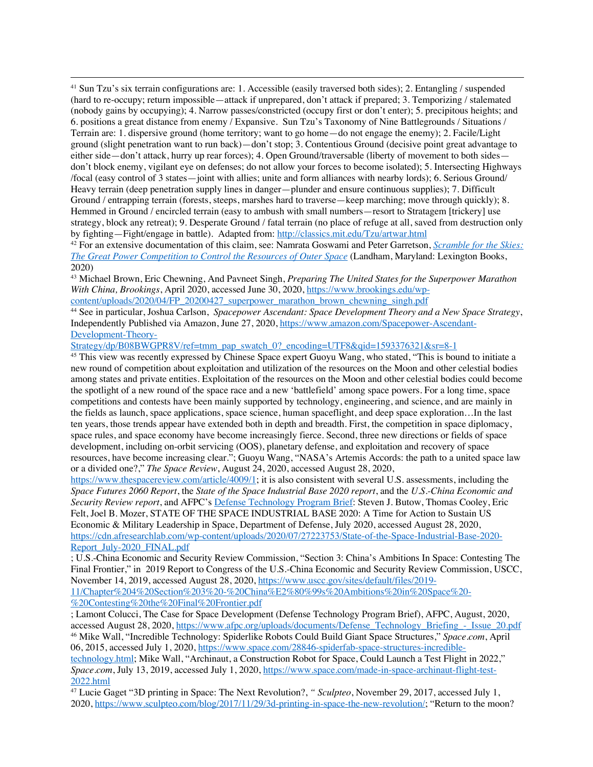<sup>41</sup> Sun Tzu's six terrain configurations are: 1. Accessible (easily traversed both sides); 2. Entangling / suspended (hard to re-occupy; return impossible—attack if unprepared, don't attack if prepared; 3. Temporizing / stalemated (nobody gains by occupying); 4. Narrow passes/constricted (occupy first or don't enter); 5. precipitous heights; and 6. positions a great distance from enemy / Expansive. Sun Tzu's Taxonomy of Nine Battlegrounds / Situations / Terrain are: 1. dispersive ground (home territory; want to go home—do not engage the enemy); 2. Facile/Light ground (slight penetration want to run back)—don't stop; 3. Contentious Ground (decisive point great advantage to either side—don't attack, hurry up rear forces); 4. Open Ground/traversable (liberty of movement to both sides don't block enemy, vigilant eye on defenses; do not allow your forces to become isolated); 5. Intersecting Highways /focal (easy control of 3 states—joint with allies; unite and form alliances with nearby lords); 6. Serious Ground/ Heavy terrain (deep penetration supply lines in danger—plunder and ensure continuous supplies); 7. Difficult Ground / entrapping terrain (forests, steeps, marshes hard to traverse—keep marching; move through quickly); 8. Hemmed in Ground / encircled terrain (easy to ambush with small numbers—resort to Stratagem [trickery] use strategy, block any retreat); 9. Desperate Ground / fatal terrain (no place of refuge at all, saved from destruction only by fighting—Fight/engage in battle). Adapted from: http://classics.mit.edu/Tzu/artwar.html

<sup>42</sup> For an extensive documentation of this claim, see: Namrata Goswami and Peter Garretson, *Scramble for the Skies: The Great Power Competition to Control the Resources of Outer Space* (Landham, Maryland: Lexington Books, 2020)

<sup>43</sup> Michael Brown, Eric Chewning, And Pavneet Singh, *Preparing The United States for the Superpower Marathon With China, Brookings*, April 2020, accessed June 30, 2020, https://www.brookings.edu/wpcontent/uploads/2020/04/FP\_20200427\_superpower\_marathon\_brown\_chewning\_singh.pdf

<sup>44</sup> See in particular, Joshua Carlson, *Spacepower Ascendant: Space Development Theory and a New Space Strategy*, Independently Published via Amazon, June 27, 2020, https://www.amazon.com/Spacepower-Ascendant-Development-Theory-

Strategy/dp/B08BWGPR8V/ref=tmm\_pap\_swatch\_0?\_encoding=UTF8&qid=1593376321&sr=8-1

<sup>45</sup> This view was recently expressed by Chinese Space expert Guoyu Wang, who stated, "This is bound to initiate a new round of competition about exploitation and utilization of the resources on the Moon and other celestial bodies among states and private entities. Exploitation of the resources on the Moon and other celestial bodies could become the spotlight of a new round of the space race and a new 'battlefield' among space powers. For a long time, space competitions and contests have been mainly supported by technology, engineering, and science, and are mainly in the fields as launch, space applications, space science, human spaceflight, and deep space exploration…In the last ten years, those trends appear have extended both in depth and breadth. First, the competition in space diplomacy, space rules, and space economy have become increasingly fierce. Second, three new directions or fields of space development, including on-orbit servicing (OOS), planetary defense, and exploitation and recovery of space resources, have become increasing clear."; Guoyu Wang, "NASA's Artemis Accords: the path to a united space law or a divided one?," *The Space Review*, August 24, 2020, accessed August 28, 2020,

https://www.thespacereview.com/article/4009/1; it is also consistent with several U.S. assessments, including the *Space Futures 2060 Report*, the *State of the Space Industrial Base 2020 report*, and the *U.S.-China Economic and Security Review report*, and AFPC's Defense Technology Program Brief: Steven J. Butow, Thomas Cooley, Eric Felt, Joel B. Mozer, STATE OF THE SPACE INDUSTRIAL BASE 2020: A Time for Action to Sustain US Economic & Military Leadership in Space, Department of Defense, July 2020, accessed August 28, 2020, https://cdn.afresearchlab.com/wp-content/uploads/2020/07/27223753/State-of-the-Space-Industrial-Base-2020- Report\_July-2020\_FINAL.pdf

; U.S.-China Economic and Security Review Commission, "Section 3: China's Ambitions In Space: Contesting The Final Frontier," in 2019 Report to Congress of the U.S.-China Economic and Security Review Commission, USCC, November 14, 2019, accessed August 28, 2020, https://www.uscc.gov/sites/default/files/2019- 11/Chapter%204%20Section%203%20-%20China%E2%80%99s%20Ambitions%20in%20Space%20- %20Contesting%20the%20Final%20Frontier.pdf

; Lamont Colucci, The Case for Space Development (Defense Technology Program Brief), AFPC, August, 2020, accessed August 28, 2020, https://www.afpc.org/uploads/documents/Defense\_Technology\_Briefing\_-\_Issue\_20.pdf <sup>46</sup> Mike Wall, "Incredible Technology: Spiderlike Robots Could Build Giant Space Structures," *Space.com*, April 06, 2015, accessed July 1, 2020, https://www.space.com/28846-spiderfab-space-structures-incredible-

technology.html; Mike Wall, "Archinaut, a Construction Robot for Space, Could Launch a Test Flight in 2022," *Space.com*, July 13, 2019, accessed July 1, 2020, https://www.space.com/made-in-space-archinaut-flight-test-2022.html

<sup>47</sup> Lucie Gaget "3D printing in Space: The Next Revolution?, *" Sculpteo*, November 29, 2017, accessed July 1, 2020, https://www.sculpteo.com/blog/2017/11/29/3d-printing-in-space-the-new-revolution/; "Return to the moon?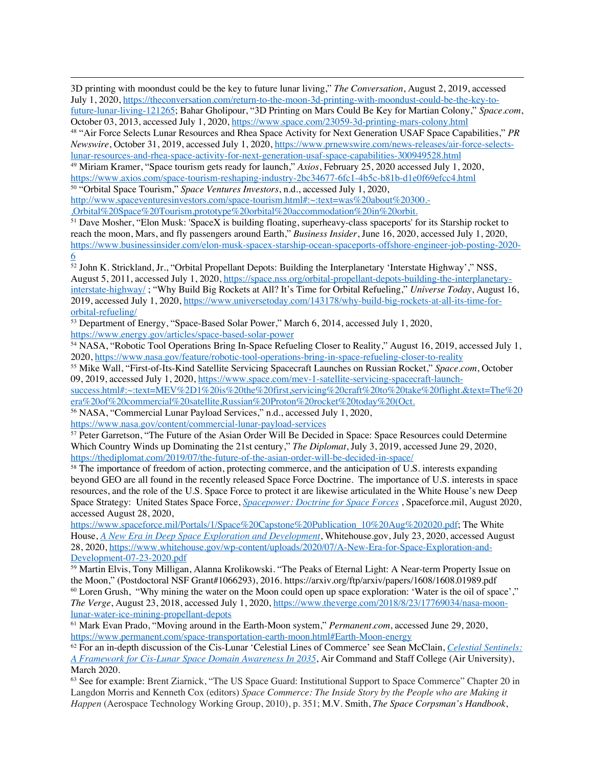3D printing with moondust could be the key to future lunar living," *The Conversation*, August 2, 2019, accessed July 1, 2020, https://theconversation.com/return-to-the-moon-3d-printing-with-moondust-could-be-the-key-tofuture-lunar-living-121265; Bahar Gholipour, "3D Printing on Mars Could Be Key for Martian Colony," *Space.com*, October 03, 2013, accessed July 1, 2020, https://www.space.com/23059-3d-printing-mars-colony.html

<sup>48</sup> "Air Force Selects Lunar Resources and Rhea Space Activity for Next Generation USAF Space Capabilities," *PR Newswire*, October 31, 2019, accessed July 1, 2020, https://www.prnewswire.com/news-releases/air-force-selectslunar-resources-and-rhea-space-activity-for-next-generation-usaf-space-capabilities-300949528.html

<sup>49</sup> Miriam Kramer, "Space tourism gets ready for launch," *Axios*, February 25, 2020 accessed July 1, 2020, https://www.axios.com/space-tourism-reshaping-industry-2bc34677-6fc1-4b5c-b81b-d1e0f69efcc4.html

<sup>50</sup> "Orbital Space Tourism," *Space Ventures Investors*, n.d., accessed July 1, 2020,

http://www.spaceventuresinvestors.com/space-tourism.html#:~:text=was%20about%20300.- ,Orbital%20Space%20Tourism,prototype%20orbital%20accommodation%20in%20orbit.

<sup>51</sup> Dave Mosher, "Elon Musk: 'SpaceX is building floating, superheavy-class spaceports' for its Starship rocket to reach the moon, Mars, and fly passengers around Earth," *Business Insider*, June 16, 2020, accessed July 1, 2020, https://www.businessinsider.com/elon-musk-spacex-starship-ocean-spaceports-offshore-engineer-job-posting-2020- 6

<sup>52</sup> John K. Strickland, Jr., "Orbital Propellant Depots: Building the Interplanetary 'Interstate Highway'," NSS, August 5, 2011, accessed July 1, 2020, https://space.nss.org/orbital-propellant-depots-building-the-interplanetaryinterstate-highway/ ; "Why Build Big Rockets at All? It's Time for Orbital Refueling," *Universe Today*, August 16, 2019, accessed July 1, 2020, https://www.universetoday.com/143178/why-build-big-rockets-at-all-its-time-fororbital-refueling/

<sup>53</sup> Department of Energy, "Space-Based Solar Power," March 6, 2014, accessed July 1, 2020, https://www.energy.gov/articles/space-based-solar-power

<sup>54</sup> NASA, "Robotic Tool Operations Bring In-Space Refueling Closer to Reality," August 16, 2019, accessed July 1, 2020, https://www.nasa.gov/feature/robotic-tool-operations-bring-in-space-refueling-closer-to-reality

<sup>55</sup> Mike Wall, "First-of-Its-Kind Satellite Servicing Spacecraft Launches on Russian Rocket," *Space.com*, October 09, 2019, accessed July 1, 2020, https://www.space.com/mev-1-satellite-servicing-spacecraft-launch-

success.html#:~:text=MEV%2D1%20is%20the%20first,servicing%20craft%20to%20take%20flight.&text=The%20 era%20of%20commercial%20satellite,Russian%20Proton%20rocket%20today%20(Oct.

<sup>56</sup> NASA, "Commercial Lunar Payload Services," n.d., accessed July 1, 2020,

https://www.nasa.gov/content/commercial-lunar-payload-services

<sup>57</sup> Peter Garretson, "The Future of the Asian Order Will Be Decided in Space: Space Resources could Determine Which Country Winds up Dominating the 21st century," *The Diplomat*, July 3, 2019, accessed June 29, 2020, https://thediplomat.com/2019/07/the-future-of-the-asian-order-will-be-decided-in-space/

<sup>58</sup> The importance of freedom of action, protecting commerce, and the anticipation of U.S. interests expanding beyond GEO are all found in the recently released Space Force Doctrine. The importance of U.S. interests in space resources, and the role of the U.S. Space Force to protect it are likewise articulated in the White House's new Deep Space Strategy: United States Space Force, *Spacepower: Doctrine for Space Forces* , Spaceforce.mil, August 2020, accessed August 28, 2020,

https://www.spaceforce.mil/Portals/1/Space%20Capstone%20Publication\_10%20Aug%202020.pdf; The White House, *A New Era in Deep Space Exploration and Development*, Whitehouse.gov, July 23, 2020, accessed August 28, 2020, https://www.whitehouse.gov/wp-content/uploads/2020/07/A-New-Era-for-Space-Exploration-and-Development-07-23-2020.pdf

<sup>59</sup> Martin Elvis, Tony Milligan, Alanna Krolikowski. "The Peaks of Eternal Light: A Near-term Property Issue on the Moon," (Postdoctoral NSF Grant#1066293), 2016. https://arxiv.org/ftp/arxiv/papers/1608/1608.01989.pdf <sup>60</sup> Loren Grush, "Why mining the water on the Moon could open up space exploration: 'Water is the oil of space'," *The Verge*, August 23, 2018, accessed July 1, 2020, https://www.theverge.com/2018/8/23/17769034/nasa-moonlunar-water-ice-mining-propellant-depots

<sup>61</sup> Mark Evan Prado, "Moving around in the Earth-Moon system," *Permanent.com*, accessed June 29, 2020, https://www.permanent.com/space-transportation-earth-moon.html#Earth-Moon-energy

<sup>62</sup> For an in-depth discussion of the Cis-Lunar 'Celestial Lines of Commerce' see Sean McClain, *Celestial Sentinels: A Framework for Cis-Lunar Space Domain Awareness In 2035*, Air Command and Staff College (Air University), March 2020.

<sup>63</sup> See for example: Brent Ziarnick, "The US Space Guard: Institutional Support to Space Commerce" Chapter 20 in Langdon Morris and Kenneth Cox (editors) *Space Commerce: The Inside Story by the People who are Making it Happen* (Aerospace Technology Working Group, 2010), p. 351; M.V. Smith, *The Space Corpsman's Handbook*,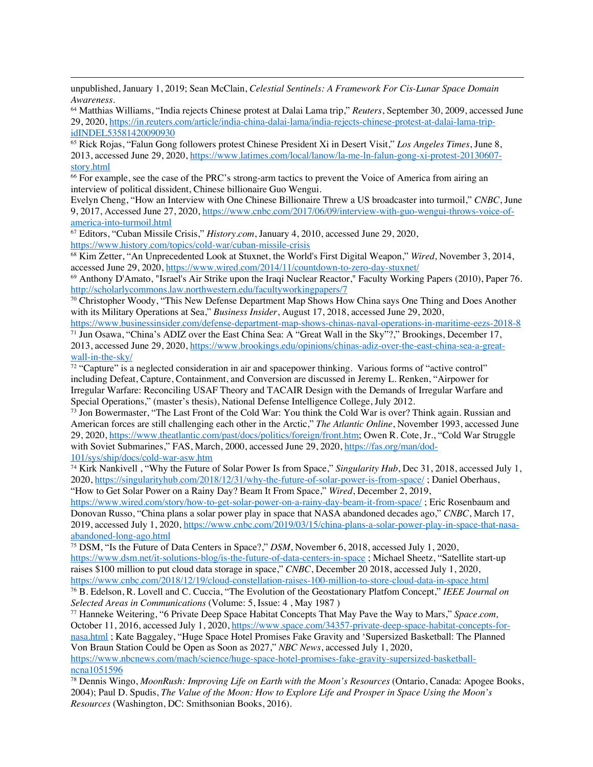unpublished, January 1, 2019; Sean McClain, *Celestial Sentinels: A Framework For Cis-Lunar Space Domain Awareness*.

<sup>64</sup> Matthias Williams, "India rejects Chinese protest at Dalai Lama trip," *Reuters*, September 30, 2009, accessed June 29, 2020, https://in.reuters.com/article/india-china-dalai-lama/india-rejects-chinese-protest-at-dalai-lama-tripidINDEL53581420090930

<sup>65</sup> Rick Rojas, "Falun Gong followers protest Chinese President Xi in Desert Visit," *Los Angeles Times*, June 8, 2013, accessed June 29, 2020, https://www.latimes.com/local/lanow/la-me-ln-falun-gong-xi-protest-20130607 story.html

<sup>66</sup> For example, see the case of the PRC's strong-arm tactics to prevent the Voice of America from airing an interview of political dissident, Chinese billionaire Guo Wengui.

Evelyn Cheng, "How an Interview with One Chinese Billionaire Threw a US broadcaster into turmoil," *CNBC*, June 9, 2017, Accessed June 27, 2020, https://www.cnbc.com/2017/06/09/interview-with-guo-wengui-throws-voice-ofamerica-into-turmoil.html

<sup>67</sup> Editors, "Cuban Missile Crisis," *History.com*, January 4, 2010, accessed June 29, 2020, https://www.history.com/topics/cold-war/cuban-missile-crisis

<sup>68</sup> Kim Zetter, "An Unprecedented Look at Stuxnet, the World's First Digital Weapon," *Wired*, November 3, 2014, accessed June 29, 2020, https://www.wired.com/2014/11/countdown-to-zero-day-stuxnet/

<sup>69</sup> Anthony D'Amato, "Israel's Air Strike upon the Iraqi Nuclear Reactor," Faculty Working Papers (2010), Paper 76. http://scholarlycommons.law.northwestern.edu/facultyworkingpapers/7

 $70$  Christopher Woody, "This New Defense Department Map Shows How China says One Thing and Does Another with its Military Operations at Sea," *Business Insider*, August 17, 2018, accessed June 29, 2020,

https://www.businessinsider.com/defense-department-map-shows-chinas-naval-operations-in-maritime-eezs-2018-8 <sup>71</sup> Jun Osawa, "China's ADIZ over the East China Sea: A "Great Wall in the Sky"?," Brookings, December 17, 2013, accessed June 29, 2020, https://www.brookings.edu/opinions/chinas-adiz-over-the-east-china-sea-a-greatwall-in-the-sky/

<sup>72</sup> "Capture" is a neglected consideration in air and spacepower thinking. Various forms of "active control" including Defeat, Capture, Containment, and Conversion are discussed in Jeremy L. Renken, "Airpower for Irregular Warfare: Reconciling USAF Theory and TACAIR Design with the Demands of Irregular Warfare and Special Operations," (master's thesis), National Defense Intelligence College, July 2012.

<sup>73</sup> Jon Bowermaster, "The Last Front of the Cold War: You think the Cold War is over? Think again. Russian and American forces are still challenging each other in the Arctic," *The Atlantic Online*, November 1993, accessed June 29, 2020, https://www.theatlantic.com/past/docs/politics/foreign/front.htm; Owen R. Cote, Jr., "Cold War Struggle with Soviet Submarines," FAS, March, 2000, accessed June 29, 2020, https://fas.org/man/dod-101/sys/ship/docs/cold-war-asw.htm

<sup>74</sup> Kirk Nankivell , "Why the Future of Solar Power Is from Space," *Singularity Hub*, Dec 31, 2018, accessed July 1, 2020, https://singularityhub.com/2018/12/31/why-the-future-of-solar-power-is-from-space/ ; Daniel Oberhaus, "How to Get Solar Power on a Rainy Day? Beam It From Space," *Wired*, December 2, 2019,

https://www.wired.com/story/how-to-get-solar-power-on-a-rainy-day-beam-it-from-space/ ; Eric Rosenbaum and Donovan Russo, "China plans a solar power play in space that NASA abandoned decades ago," *CNBC*, March 17, 2019, accessed July 1, 2020, https://www.cnbc.com/2019/03/15/china-plans-a-solar-power-play-in-space-that-nasaabandoned-long-ago.html

<sup>75</sup> DSM, "Is the Future of Data Centers in Space?," *DSM*, November 6, 2018, accessed July 1, 2020, https://www.dsm.net/it-solutions-blog/is-the-future-of-data-centers-in-space ; Michael Sheetz, "Satellite start-up raises \$100 million to put cloud data storage in space," *CNBC*, December 20 2018, accessed July 1, 2020, https://www.cnbc.com/2018/12/19/cloud-constellation-raises-100-million-to-store-cloud-data-in-space.html

<sup>76</sup> B. Edelson, R. Lovell and C. Cuccia, "The Evolution of the Geostationary Platfom Concept," *IEEE Journal on Selected Areas in Communications* (Volume: 5, Issue: 4 , May 1987 )

<sup>77</sup> Hanneke Weitering, "6 Private Deep Space Habitat Concepts That May Pave the Way to Mars," *Space.com,* October 11, 2016, accessed July 1, 2020, https://www.space.com/34357-private-deep-space-habitat-concepts-fornasa.html ; Kate Baggaley, "Huge Space Hotel Promises Fake Gravity and 'Supersized Basketball: The Planned Von Braun Station Could be Open as Soon as 2027," *NBC News*, accessed July 1, 2020,

https://www.nbcnews.com/mach/science/huge-space-hotel-promises-fake-gravity-supersized-basketballncna1051596

<sup>78</sup> Dennis Wingo, *MoonRush: Improving Life on Earth with the Moon's Resources* (Ontario, Canada: Apogee Books, 2004); Paul D. Spudis, *The Value of the Moon: How to Explore Life and Prosper in Space Using the Moon's Resources* (Washington, DC: Smithsonian Books, 2016).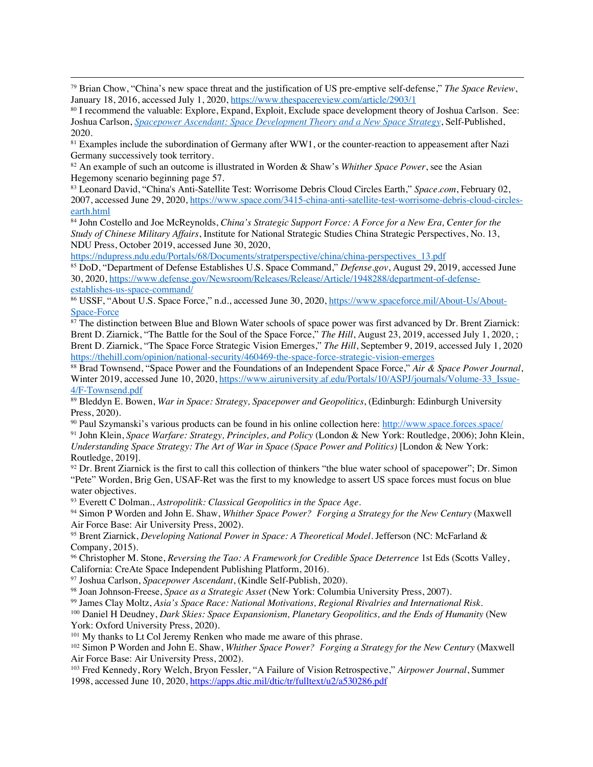<sup>79</sup> Brian Chow, "China's new space threat and the justification of US pre-emptive self-defense," *The Space Review*, January 18, 2016, accessed July 1, 2020, https://www.thespacereview.com/article/2903/1

<sup>80</sup> I recommend the valuable: Explore, Expand, Exploit, Exclude space development theory of Joshua Carlson. See: Joshua Carlson, *Spacepower Ascendant: Space Development Theory and a New Space Strategy*, Self-Published, 2020.

<sup>81</sup> Examples include the subordination of Germany after WW1, or the counter-reaction to appeasement after Nazi Germany successively took territory.

<sup>82</sup> An example of such an outcome is illustrated in Worden & Shaw's *Whither Space Power*, see the Asian Hegemony scenario beginning page 57.

<sup>83</sup> Leonard David, "China's Anti-Satellite Test: Worrisome Debris Cloud Circles Earth," *Space.com*, February 02, 2007, accessed June 29, 2020, https://www.space.com/3415-china-anti-satellite-test-worrisome-debris-cloud-circlesearth.html

<sup>84</sup> John Costello and Joe McReynolds, *China's Strategic Support Force: A Force for a New Era, Center for the Study of Chinese Military Affairs*, Institute for National Strategic Studies China Strategic Perspectives, No. 13, NDU Press, October 2019, accessed June 30, 2020,

https://ndupress.ndu.edu/Portals/68/Documents/stratperspective/china/china-perspectives\_13.pdf

<sup>85</sup> DoD, "Department of Defense Establishes U.S. Space Command," *Defense.gov*, August 29, 2019, accessed June 30, 2020, https://www.defense.gov/Newsroom/Releases/Release/Article/1948288/department-of-defenseestablishes-us-space-command/

<sup>86</sup> USSF, "About U.S. Space Force," n.d., accessed June 30, 2020, https://www.spaceforce.mil/About-Us/About-Space-Force

 $\frac{87}{100}$  The distinction between Blue and Blown Water schools of space power was first advanced by Dr. Brent Ziarnick: Brent D. Ziarnick, "The Battle for the Soul of the Space Force," *The Hill*, August 23, 2019, accessed July 1, 2020, ; Brent D. Ziarnick, "The Space Force Strategic Vision Emerges," *The Hill*, September 9, 2019, accessed July 1, 2020 https://thehill.com/opinion/national-security/460469-the-space-force-strategic-vision-emerges

<sup>88</sup> Brad Townsend, "Space Power and the Foundations of an Independent Space Force," *Air & Space Power Journal*, Winter 2019, accessed June 10, 2020, https://www.airuniversity.af.edu/Portals/10/ASPJ/journals/Volume-33 Issue-4/F-Townsend.pdf

<sup>89</sup> Bleddyn E. Bowen, *War in Space: Strategy, Spacepower and Geopolitics*, (Edinburgh: Edinburgh University Press, 2020).

<sup>90</sup> Paul Szymanski's various products can be found in his online collection here: http://www.space.forces.space/

<sup>91</sup> John Klein, *Space Warfare: Strategy, Principles, and Policy* (London & New York: Routledge, 2006); John Klein, *Understanding Space Strategy: The Art of War in Space (Space Power and Politics)* [London & New York: Routledge, 2019].

 $92$  Dr. Brent Ziarnick is the first to call this collection of thinkers "the blue water school of spacepower"; Dr. Simon "Pete" Worden, Brig Gen, USAF-Ret was the first to my knowledge to assert US space forces must focus on blue water objectives.

<sup>93</sup> Everett C Dolman., *Astropolitik: Classical Geopolitics in the Space Age*.

<sup>94</sup> Simon P Worden and John E. Shaw, *Whither Space Power? Forging a Strategy for the New Century* (Maxwell Air Force Base: Air University Press, 2002).

<sup>95</sup> Brent Ziarnick, *Developing National Power in Space: A Theoretical Model*. Jefferson (NC: McFarland & Company, 2015).

<sup>96</sup> Christopher M. Stone, *Reversing the Tao: A Framework for Credible Space Deterrence* 1st Eds (Scotts Valley, California: CreAte Space Independent Publishing Platform, 2016).

<sup>97</sup> Joshua Carlson, *Spacepower Ascendant*, (Kindle Self-Publish, 2020).

<sup>98</sup> Joan Johnson-Freese, *Space as a Strategic Asset* (New York: Columbia University Press, 2007).

<sup>99</sup> James Clay Moltz, *Asia's Space Race: National Motivations, Regional Rivalries and International Risk*.

<sup>100</sup> Daniel H Deudney, *Dark Skies: Space Expansionism, Planetary Geopolitics, and the Ends of Humanity* (New York: Oxford University Press, 2020).

<sup>101</sup> My thanks to Lt Col Jeremy Renken who made me aware of this phrase.

<sup>102</sup> Simon P Worden and John E. Shaw, *Whither Space Power? Forging a Strategy for the New Century* (Maxwell Air Force Base: Air University Press, 2002).

<sup>103</sup> Fred Kennedy, Rory Welch, Bryon Fessler, "A Failure of Vision Retrospective," *Airpower Journal*, Summer 1998, accessed June 10, 2020, https://apps.dtic.mil/dtic/tr/fulltext/u2/a530286.pdf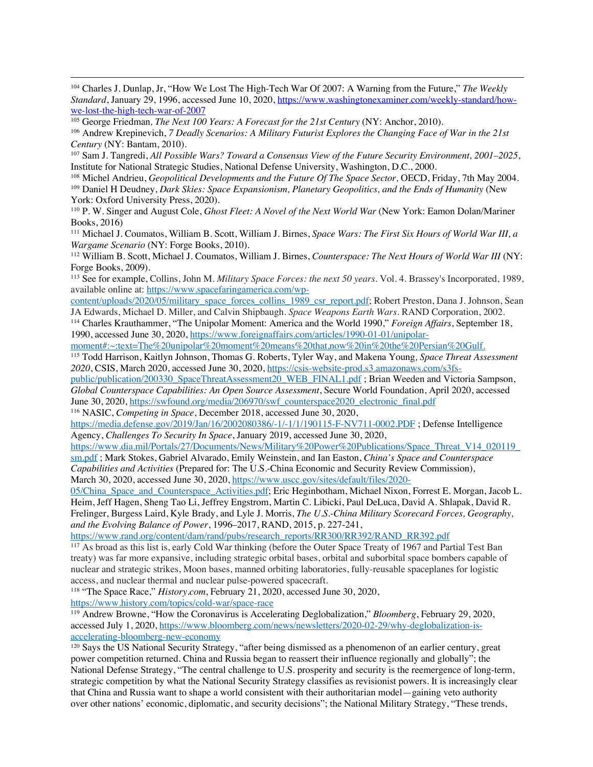<sup>104</sup> Charles J. Dunlap, Jr, "How We Lost The High-Tech War Of 2007: A Warning from the Future," *The Weekly Standard*, January 29, 1996, accessed June 10, 2020, https://www.washingtonexaminer.com/weekly-standard/howwe-lost-the-high-tech-war-of-2007

<sup>105</sup> George Friedman*, The Next 100 Years: A Forecast for the 21st Century* (NY: Anchor, 2010).

<sup>106</sup> Andrew Krepinevich, *7 Deadly Scenarios: A Military Futurist Explores the Changing Face of War in the 21st Century* (NY: Bantam, 2010).

<sup>107</sup> Sam J. Tangredi, *All Possible Wars? Toward a Consensus View of the Future Security Environment, 2001–2025*, Institute for National Strategic Studies, National Defense University, Washington, D.C., 2000.

<sup>108</sup> Michel Andrieu, *Geopolitical Developments and the Future Of The Space Sector, OECD, Friday, 7th May 2004.* 

<sup>109</sup> Daniel H Deudney, *Dark Skies: Space Expansionism, Planetary Geopolitics, and the Ends of Humanity* (New York: Oxford University Press, 2020).

<sup>110</sup> P. W. Singer and August Cole, *Ghost Fleet: A Novel of the Next World War* (New York: Eamon Dolan/Mariner Books, 2016)

<sup>111</sup> Michael J. Coumatos, William B. Scott, William J. Birnes, *Space Wars: The First Six Hours of World War III, a Wargame Scenario* (NY: Forge Books, 2010).

<sup>112</sup> William B. Scott, Michael J. Coumatos, William J. Birnes, *Counterspace: The Next Hours of World War III* (NY: Forge Books, 2009).

<sup>113</sup> See for example, Collins, John M. *Military Space Forces: the next 50 years*. Vol. 4. Brassey's Incorporated, 1989, available online at: https://www.spacefaringamerica.com/wp-

content/uploads/2020/05/military\_space\_forces\_collins\_1989\_csr\_report.pdf; Robert Preston, Dana J. Johnson, Sean JA Edwards, Michael D. Miller, and Calvin Shipbaugh. *Space Weapons Earth Wars*. RAND Corporation, 2002.

<sup>114</sup> Charles Krauthammer, "The Unipolar Moment: America and the World 1990," *Foreign Affairs*, September 18, 1990, accessed June 30, 2020, https://www.foreignaffairs.com/articles/1990-01-01/unipolar-

moment#:~:text=The%20unipolar%20moment%20means%20that,now%20in%20the%20Persian%20Gulf.

<sup>115</sup> Todd Harrison, Kaitlyn Johnson, Thomas G. Roberts, Tyler Way, and Makena Young*, Space Threat Assessment 2020*, CSIS, March 2020, accessed June 30, 2020, https://csis-website-prod.s3.amazonaws.com/s3fs-

public/publication/200330\_SpaceThreatAssessment20\_WEB\_FINAL1.pdf ; Brian Weeden and Victoria Sampson, *Global Counterspace Capabilities: An Open Source Assessment*, Secure World Foundation, April 2020, accessed June 30, 2020, https://swfound.org/media/206970/swf\_counterspace2020\_electronic\_final.pdf

<sup>116</sup> NASIC, *Competing in Space*, December 2018, accessed June 30, 2020,

https://media.defense.gov/2019/Jan/16/2002080386/-1/-1/1/190115-F-NV711-0002.PDF ; Defense Intelligence Agency, *Challenges To Security In Space*, January 2019, accessed June 30, 2020,

https://www.dia.mil/Portals/27/Documents/News/Military%20Power%20Publications/Space\_Threat\_V14\_020119\_ sm.pdf ; Mark Stokes, Gabriel Alvarado, Emily Weinstein, and Ian Easton, *China's Space and Counterspace*

*Capabilities and Activities* (Prepared for: The U.S.-China Economic and Security Review Commission), March 30, 2020, accessed June 30, 2020, https://www.uscc.gov/sites/default/files/2020-

05/China Space and Counterspace Activities.pdf; Eric Heginbotham, Michael Nixon, Forrest E. Morgan, Jacob L. Heim, Jeff Hagen, Sheng Tao Li, Jeffrey Engstrom, Martin C. Libicki, Paul DeLuca, David A. Shlapak, David R. Frelinger, Burgess Laird, Kyle Brady, and Lyle J. Morris, *The U.S.-China Military Scorecard Forces, Geography, and the Evolving Balance of Power*, 1996–2017, RAND, 2015, p. 227-241,

https://www.rand.org/content/dam/rand/pubs/research\_reports/RR300/RR392/RAND\_RR392.pdf

<sup>117</sup> As broad as this list is, early Cold War thinking (before the Outer Space Treaty of 1967 and Partial Test Ban treaty) was far more expansive, including strategic orbital bases, orbital and suborbital space bombers capable of nuclear and strategic strikes, Moon bases, manned orbiting laboratories, fully-reusable spaceplanes for logistic access, and nuclear thermal and nuclear pulse-powered spacecraft.

<sup>118</sup> "The Space Race," *History.com*, February 21, 2020, accessed June 30, 2020,

https://www.history.com/topics/cold-war/space-race

<sup>119</sup> Andrew Browne, "How the Coronavirus is Accelerating Deglobalization," *Bloomberg*, February 29, 2020, accessed July 1, 2020, https://www.bloomberg.com/news/newsletters/2020-02-29/why-deglobalization-isaccelerating-bloomberg-new-economy

<sup>120</sup> Says the US National Security Strategy, "after being dismissed as a phenomenon of an earlier century, great power competition returned. China and Russia began to reassert their influence regionally and globally"; the National Defense Strategy, "The central challenge to U.S. prosperity and security is the reemergence of long-term, strategic competition by what the National Security Strategy classifies as revisionist powers. It is increasingly clear that China and Russia want to shape a world consistent with their authoritarian model—gaining veto authority over other nations' economic, diplomatic, and security decisions"; the National Military Strategy, "These trends,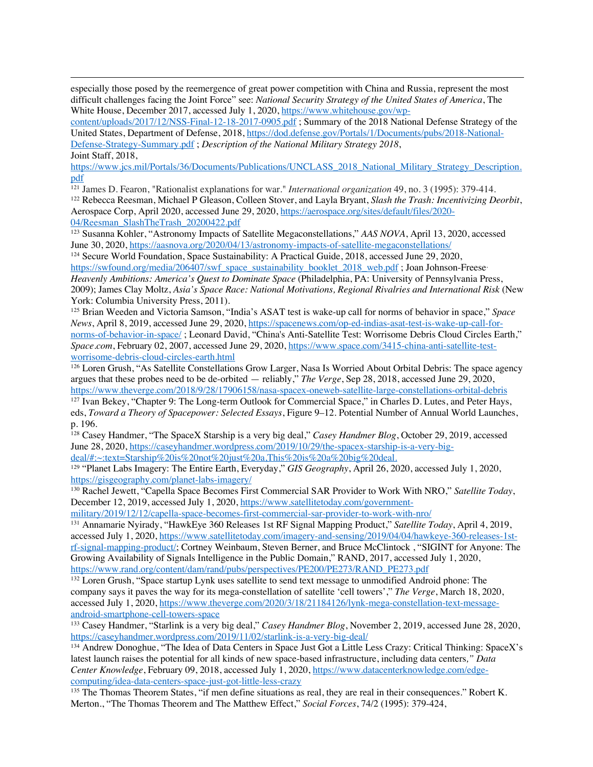especially those posed by the reemergence of great power competition with China and Russia, represent the most difficult challenges facing the Joint Force" see: *National Security Strategy of the United States of America*, The White House, December 2017, accessed July 1, 2020, https://www.whitehouse.gov/wp-

content/uploads/2017/12/NSS-Final-12-18-2017-0905.pdf ; Summary of the 2018 National Defense Strategy of the United States, Department of Defense, 2018, https://dod.defense.gov/Portals/1/Documents/pubs/2018-National-Defense-Strategy-Summary.pdf ; *Description of the National Military Strategy 2018*, Joint Staff, 2018,

https://www.jcs.mil/Portals/36/Documents/Publications/UNCLASS\_2018\_National\_Military\_Strategy\_Description. pdf

<sup>121</sup> James D. Fearon, "Rationalist explanations for war." *International organization* 49, no. 3 (1995): 379-414. <sup>122</sup> Rebecca Reesman, Michael P Gleason, Colleen Stover, and Layla Bryant, *Slash the Trash: Incentivizing Deorbit*, Aerospace Corp, April 2020, accessed June 29, 2020, https://aerospace.org/sites/default/files/2020-04/Reesman\_SlashTheTrash\_20200422.pdf

<sup>123</sup> Susanna Kohler, "Astronomy Impacts of Satellite Megaconstellations," *AAS NOVA*, April 13, 2020, accessed June 30, 2020, https://aasnova.org/2020/04/13/astronomy-impacts-of-satellite-megaconstellations/

<sup>124</sup> Secure World Foundation, Space Sustainability: A Practical Guide, 2018, accessed June 29, 2020,

https://swfound.org/media/206407/swf\_space\_sustainability\_booklet\_2018\_web.pdf; Joan Johnson-Freese, *Heavenly Ambitions: America's Quest to Dominate Space* (Philadelphia, PA: University of Pennsylvania Press, 2009); James Clay Moltz, *Asia's Space Race: National Motivations, Regional Rivalries and International Risk* (New York: Columbia University Press, 2011).

<sup>125</sup> Brian Weeden and Victoria Samson, "India's ASAT test is wake-up call for norms of behavior in space," *Space News*, April 8, 2019, accessed June 29, 2020, https://spacenews.com/op-ed-indias-asat-test-is-wake-up-call-fornorms-of-behavior-in-space/ ; Leonard David, "China's Anti-Satellite Test: Worrisome Debris Cloud Circles Earth," *Space.com*, February 02, 2007, accessed June 29, 2020, https://www.space.com/3415-china-anti-satellite-testworrisome-debris-cloud-circles-earth.html

<sup>126</sup> Loren Grush, "As Satellite Constellations Grow Larger, Nasa Is Worried About Orbital Debris: The space agency argues that these probes need to be de-orbited — reliably," *The Verge*, Sep 28, 2018, accessed June 29, 2020, https://www.theverge.com/2018/9/28/17906158/nasa-spacex-oneweb-satellite-large-constellations-orbital-debris

<sup>127</sup> Ivan Bekey, "Chapter 9: The Long-term Outlook for Commercial Space," in Charles D. Lutes, and Peter Hays, eds, *Toward a Theory of Spacepower: Selected Essays*, Figure 9–12. Potential Number of Annual World Launches, p. 196.

<sup>128</sup> Casey Handmer, "The SpaceX Starship is a very big deal," *Casey Handmer Blog*, October 29, 2019, accessed June 28, 2020, https://caseyhandmer.wordpress.com/2019/10/29/the-spacex-starship-is-a-very-bigdeal/#:~:text=Starship%20is%20not%20just%20a,This%20is%20a%20big%20deal.

<sup>129</sup> "Planet Labs Imagery: The Entire Earth, Everyday," *GIS Geography*, April 26, 2020, accessed July 1, 2020, https://gisgeography.com/planet-labs-imagery/

<sup>130</sup> Rachel Jewett, "Capella Space Becomes First Commercial SAR Provider to Work With NRO," *Satellite Today*, December 12, 2019, accessed July 1, 2020, https://www.satellitetoday.com/government-

military/2019/12/12/capella-space-becomes-first-commercial-sar-provider-to-work-with-nro/

<sup>131</sup> Annamarie Nyirady, "HawkEye 360 Releases 1st RF Signal Mapping Product," *Satellite Today*, April 4, 2019, accessed July 1, 2020, https://www.satellitetoday.com/imagery-and-sensing/2019/04/04/hawkeye-360-releases-1strf-signal-mapping-product/; Cortney Weinbaum, Steven Berner, and Bruce McClintock , "SIGINT for Anyone: The Growing Availability of Signals Intelligence in the Public Domain," RAND, 2017, accessed July 1, 2020, https://www.rand.org/content/dam/rand/pubs/perspectives/PE200/PE273/RAND\_PE273.pdf

<sup>132</sup> Loren Grush, "Space startup Lynk uses satellite to send text message to unmodified Android phone: The company says it paves the way for its mega-constellation of satellite 'cell towers'," *The Verge*, March 18, 2020, accessed July 1, 2020, https://www.theverge.com/2020/3/18/21184126/lynk-mega-constellation-text-messageandroid-smartphone-cell-towers-space

<sup>133</sup> Casey Handmer, "Starlink is a very big deal," *Casey Handmer Blog*, November 2, 2019, accessed June 28, 2020, https://caseyhandmer.wordpress.com/2019/11/02/starlink-is-a-very-big-deal/

<sup>134</sup> Andrew Donoghue, "The Idea of Data Centers in Space Just Got a Little Less Crazy: Critical Thinking: SpaceX's latest launch raises the potential for all kinds of new space-based infrastructure, including data centers*," Data Center Knowledge*, February 09, 2018, accessed July 1, 2020, https://www.datacenterknowledge.com/edgecomputing/idea-data-centers-space-just-got-little-less-crazy

<sup>135</sup> The Thomas Theorem States, "if men define situations as real, they are real in their consequences." Robert K. Merton., "The Thomas Theorem and The Matthew Effect," *Social Forces*, 74/2 (1995): 379-424,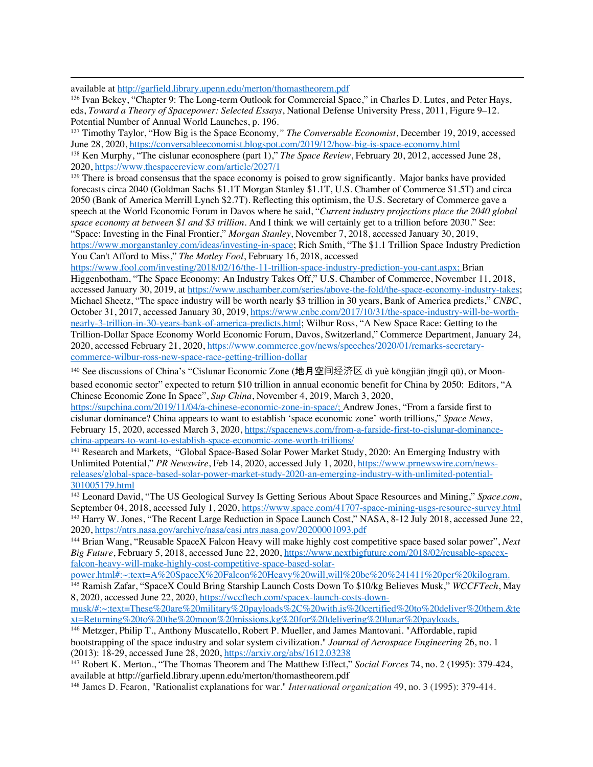available at http://garfield.library.upenn.edu/merton/thomastheorem.pdf

<sup>136</sup> Ivan Bekey, "Chapter 9: The Long-term Outlook for Commercial Space," in Charles D. Lutes, and Peter Hays, eds, *Toward a Theory of Spacepower: Selected Essays*, National Defense University Press, 2011, Figure 9–12. Potential Number of Annual World Launches, p. 196.

<sup>137</sup> Timothy Taylor, "How Big is the Space Economy*," The Conversable Economist*, December 19, 2019, accessed June 28, 2020, https://conversableeconomist.blogspot.com/2019/12/how-big-is-space-economy.html

<sup>138</sup> Ken Murphy, "The cislunar econosphere (part 1)," *The Space Review*, February 20, 2012, accessed June 28, 2020, https://www.thespacereview.com/article/2027/1

<sup>139</sup> There is broad consensus that the space economy is poised to grow significantly. Major banks have provided forecasts circa 2040 (Goldman Sachs \$1.1T Morgan Stanley \$1.1T, U.S. Chamber of Commerce \$1.5T) and circa 2050 (Bank of America Merrill Lynch \$2.7T). Reflecting this optimism, the U.S. Secretary of Commerce gave a speech at the World Economic Forum in Davos where he said, "*Current industry projections place the 2040 global space economy at between \$1 and \$3 trillion*. And I think we will certainly get to a trillion before 2030." See: "Space: Investing in the Final Frontier," *Morgan Stanley*, November 7, 2018, accessed January 30, 2019, https://www.morganstanley.com/ideas/investing-in-space; Rich Smith, "The \$1.1 Trillion Space Industry Prediction

You Can't Afford to Miss," *The Motley Fool*, February 16, 2018, accessed

https://www.fool.com/investing/2018/02/16/the-11-trillion-space-industry-prediction-you-cant.aspx; Brian Higgenbotham, "The Space Economy: An Industry Takes Off," U.S. Chamber of Commerce, November 11, 2018, accessed January 30, 2019, at https://www.uschamber.com/series/above-the-fold/the-space-economy-industry-takes; Michael Sheetz, "The space industry will be worth nearly \$3 trillion in 30 years, Bank of America predicts," *CNBC*, October 31, 2017, accessed January 30, 2019, https://www.cnbc.com/2017/10/31/the-space-industry-will-be-worthnearly-3-trillion-in-30-years-bank-of-america-predicts.html; Wilbur Ross, "A New Space Race: Getting to the Trillion-Dollar Space Economy World Economic Forum, Davos, Switzerland," Commerce Department, January 24, 2020, accessed February 21, 2020, https://www.commerce.gov/news/speeches/2020/01/remarks-secretarycommerce-wilbur-ross-new-space-race-getting-trillion-dollar

<sup>140</sup> See discussions of China's "Cislunar Economic Zone (地月空间经济区 dì yuè kōngjiān jīngjì qū), or Moonbased economic sector" expected to return \$10 trillion in annual economic benefit for China by 2050: Editors, "A Chinese Economic Zone In Space", *Sup China*, November 4, 2019, March 3, 2020,

https://supchina.com/2019/11/04/a-chinese-economic-zone-in-space/; Andrew Jones, "From a farside first to cislunar dominance? China appears to want to establish 'space economic zone' worth trillions," *Space News*, February 15, 2020, accessed March 3, 2020, https://spacenews.com/from-a-farside-first-to-cislunar-dominancechina-appears-to-want-to-establish-space-economic-zone-worth-trillions/

<sup>141</sup> Research and Markets, "Global Space-Based Solar Power Market Study, 2020: An Emerging Industry with Unlimited Potential," *PR Newswire*, Feb 14, 2020, accessed July 1, 2020, https://www.prnewswire.com/newsreleases/global-space-based-solar-power-market-study-2020-an-emerging-industry-with-unlimited-potential-301005179.html

<sup>142</sup> Leonard David, "The US Geological Survey Is Getting Serious About Space Resources and Mining," *Space.com*, September 04, 2018, accessed July 1, 2020, https://www.space.com/41707-space-mining-usgs-resource-survey.html <sup>143</sup> Harry W. Jones, "The Recent Large Reduction in Space Launch Cost," NASA, 8-12 July 2018, accessed June 22, 2020, https://ntrs.nasa.gov/archive/nasa/casi.ntrs.nasa.gov/20200001093.pdf

<sup>144</sup> Brian Wang, "Reusable SpaceX Falcon Heavy will make highly cost competitive space based solar power", *Next Big Future*, February 5, 2018, accessed June 22, 2020, https://www.nextbigfuture.com/2018/02/reusable-spacexfalcon-heavy-will-make-highly-cost-competitive-space-based-solar-

power.html#:~:text=A%20SpaceX%20Falcon%20Heavy%20will,will%20be%20%241411%20per%20kilogram.

<sup>145</sup> Ramish Zafar, "SpaceX Could Bring Starship Launch Costs Down To \$10/kg Believes Musk," *WCCFTech*, May 8, 2020, accessed June 22, 2020, https://wccftech.com/spacex-launch-costs-down-

musk/#:~:text=These%20are%20military%20payloads%2C%20with,is%20certified%20to%20deliver%20them.&te xt=Returning%20to%20the%20moon%20missions,kg%20for%20delivering%20lunar%20payloads.

<sup>146</sup> Metzger, Philip T., Anthony Muscatello, Robert P. Mueller, and James Mantovani. "Affordable, rapid bootstrapping of the space industry and solar system civilization." *Journal of Aerospace Engineering* 26, no. 1 (2013): 18-29, accessed June 28, 2020, https://arxiv.org/abs/1612.03238

<sup>147</sup> Robert K. Merton., "The Thomas Theorem and The Matthew Effect," *Social Forces* 74, no. 2 (1995): 379-424, available at http://garfield.library.upenn.edu/merton/thomastheorem.pdf

<sup>148</sup> James D. Fearon, "Rationalist explanations for war." *International organization* 49, no. 3 (1995): 379-414.